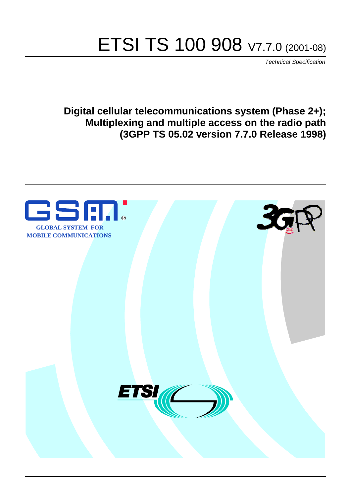# ETSI TS 100 908 V7.7.0 (2001-08)

Technical Specification

**Digital cellular telecommunications system (Phase 2+); Multiplexing and multiple access on the radio path (3GPP TS 05.02 version 7.7.0 Release 1998)**

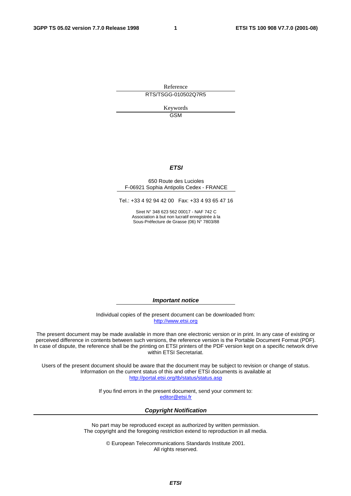Reference RTS/TSGG-010502Q7R5

> Keywords GSM

#### **ETSI**

#### 650 Route des Lucioles F-06921 Sophia Antipolis Cedex - FRANCE

Tel.: +33 4 92 94 42 00 Fax: +33 4 93 65 47 16

Siret N° 348 623 562 00017 - NAF 742 C Association à but non lucratif enregistrée à la Sous-Préfecture de Grasse (06) N° 7803/88

**Important notice** 

Individual copies of the present document can be downloaded from: [http://www.etsi.org](http://www.etsi.org/)

The present document may be made available in more than one electronic version or in print. In any case of existing or perceived difference in contents between such versions, the reference version is the Portable Document Format (PDF). In case of dispute, the reference shall be the printing on ETSI printers of the PDF version kept on a specific network drive within ETSI Secretariat.

Users of the present document should be aware that the document may be subject to revision or change of status. Information on the current status of this and other ETSI documents is available at <http://portal.etsi.org/tb/status/status.asp>

> If you find errors in the present document, send your comment to: [editor@etsi.fr](mailto:editor@etsi.fr)

#### **Copyright Notification**

No part may be reproduced except as authorized by written permission. The copyright and the foregoing restriction extend to reproduction in all media.

> © European Telecommunications Standards Institute 2001. All rights reserved.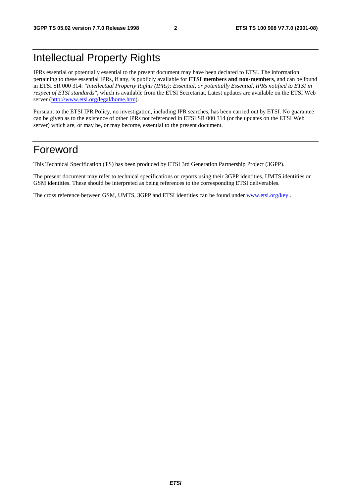## Intellectual Property Rights

IPRs essential or potentially essential to the present document may have been declared to ETSI. The information pertaining to these essential IPRs, if any, is publicly available for **ETSI members and non-members**, and can be found in ETSI SR 000 314: *"Intellectual Property Rights (IPRs); Essential, or potentially Essential, IPRs notified to ETSI in respect of ETSI standards"*, which is available from the ETSI Secretariat. Latest updates are available on the ETSI Web server ([http://www.etsi.org/legal/home.htm\)](http://www.etsi.org/legal/home.htm).

Pursuant to the ETSI IPR Policy, no investigation, including IPR searches, has been carried out by ETSI. No guarantee can be given as to the existence of other IPRs not referenced in ETSI SR 000 314 (or the updates on the ETSI Web server) which are, or may be, or may become, essential to the present document.

### Foreword

This Technical Specification (TS) has been produced by ETSI 3rd Generation Partnership Project (3GPP).

The present document may refer to technical specifications or reports using their 3GPP identities, UMTS identities or GSM identities. These should be interpreted as being references to the corresponding ETSI deliverables.

The cross reference between GSM, UMTS, 3GPP and ETSI identities can be found under [www.etsi.org/key](http://www.etsi.org/key) .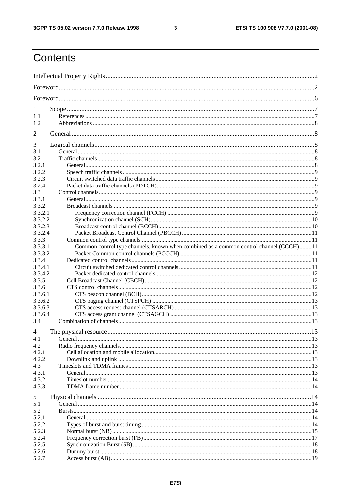$\mathbf{3}$ 

## Contents

| 1                |                                                                                        |  |
|------------------|----------------------------------------------------------------------------------------|--|
| 1.1              |                                                                                        |  |
| 1.2              |                                                                                        |  |
| 2                |                                                                                        |  |
| 3                |                                                                                        |  |
| 3.1              |                                                                                        |  |
| 3.2              |                                                                                        |  |
| 3.2.1            |                                                                                        |  |
| 3.2.2            |                                                                                        |  |
| 3.2.3            |                                                                                        |  |
| 3.2.4            |                                                                                        |  |
| 3.3              |                                                                                        |  |
| 3.3.1            |                                                                                        |  |
| 3.3.2            |                                                                                        |  |
| 3.3.2.1          |                                                                                        |  |
| 3.3.2.2          |                                                                                        |  |
| 3.3.2.3          |                                                                                        |  |
| 3.3.2.4          |                                                                                        |  |
| 3.3.3            |                                                                                        |  |
| 3.3.3.1          | Common control type channels, known when combined as a common control channel (CCCH)11 |  |
| 3.3.3.2          |                                                                                        |  |
| 3.3.4            |                                                                                        |  |
| 3.3.4.1          |                                                                                        |  |
| 3.3.4.2          |                                                                                        |  |
| 3.3.5            |                                                                                        |  |
| 3.3.6<br>3.3.6.1 |                                                                                        |  |
| 3.3.6.2          |                                                                                        |  |
| 3.3.6.3          |                                                                                        |  |
| 3.3.6.4          |                                                                                        |  |
| 3.4              |                                                                                        |  |
| 4                |                                                                                        |  |
| 4.1              |                                                                                        |  |
| 4.2              |                                                                                        |  |
| 4.2.1            |                                                                                        |  |
| 4.2.2            |                                                                                        |  |
| 4.3              |                                                                                        |  |
| 4.3.1            |                                                                                        |  |
| 4.3.2            |                                                                                        |  |
| 4.3.3            |                                                                                        |  |
| 5                |                                                                                        |  |
| 5.1              |                                                                                        |  |
| 5.2              |                                                                                        |  |
| 5.2.1            |                                                                                        |  |
| 5.2.2            |                                                                                        |  |
| 5.2.3            |                                                                                        |  |
| 5.2.4            |                                                                                        |  |
| 5.2.5            |                                                                                        |  |
| 5.2.6            |                                                                                        |  |
| 5.2.7            |                                                                                        |  |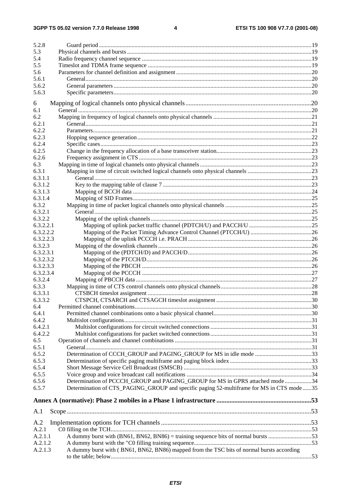$\overline{\mathbf{4}}$ 

| 5.2.8        |                                                                                           |  |
|--------------|-------------------------------------------------------------------------------------------|--|
| 5.3          |                                                                                           |  |
| 5.4          |                                                                                           |  |
| 5.5          |                                                                                           |  |
| 5.6          |                                                                                           |  |
| 5.6.1        |                                                                                           |  |
| 5.6.2        |                                                                                           |  |
| 5.6.3        |                                                                                           |  |
|              |                                                                                           |  |
| 6            |                                                                                           |  |
| 6.1          |                                                                                           |  |
| 6.2          |                                                                                           |  |
| 6.2.1        |                                                                                           |  |
| 6.2.2        |                                                                                           |  |
| 6.2.3        |                                                                                           |  |
| 6.2.4        |                                                                                           |  |
| 6.2.5        |                                                                                           |  |
| 6.2.6        |                                                                                           |  |
| 6.3          |                                                                                           |  |
| 6.3.1        |                                                                                           |  |
| 6.3.1.1      |                                                                                           |  |
| 6.3.1.2      |                                                                                           |  |
| 6.3.1.3      |                                                                                           |  |
| 6.3.1.4      |                                                                                           |  |
| 6.3.2        |                                                                                           |  |
| 6.3.2.1      |                                                                                           |  |
| 6.3.2.2      |                                                                                           |  |
| 6.3.2.2.1    |                                                                                           |  |
| 6.3.2.2.2    |                                                                                           |  |
| 6.3.2.2.3    |                                                                                           |  |
| 6.3.2.3      |                                                                                           |  |
| 6.3.2.3.1    |                                                                                           |  |
| 6.3.2.3.2    |                                                                                           |  |
| 6.3.2.3.3    |                                                                                           |  |
| 6.3.2.3.4    |                                                                                           |  |
| 6.3.2.4      |                                                                                           |  |
| 6.3.3        |                                                                                           |  |
| 6.3.3.1      |                                                                                           |  |
| 6.3.3.2      |                                                                                           |  |
| 6.4          |                                                                                           |  |
| 6.4.1        |                                                                                           |  |
| 6.4.2        |                                                                                           |  |
| 6.4.2.1      |                                                                                           |  |
| 6.4.2.2      |                                                                                           |  |
| 6.5          |                                                                                           |  |
| 6.5.1        |                                                                                           |  |
| 6.5.2        | Determination of CCCH_GROUP and PAGING_GROUP for MS in idle mode 33                       |  |
| 6.5.3        |                                                                                           |  |
| 6.5.4        |                                                                                           |  |
| 6.5.5        |                                                                                           |  |
| 6.5.6        | Determination of PCCCH_GROUP and PAGING_GROUP for MS in GPRS attached mode34              |  |
| 6.5.7        | Determination of CTS_PAGING_GROUP and specific paging 52-multiframe for MS in CTS mode 35 |  |
|              |                                                                                           |  |
|              |                                                                                           |  |
| A.1          |                                                                                           |  |
|              |                                                                                           |  |
| A.2<br>A.2.1 |                                                                                           |  |
| A.2.1.1      |                                                                                           |  |
| A.2.1.2      |                                                                                           |  |
| A.2.1.3      | A dummy burst with (BN61, BN62, BN86) mapped from the TSC bits of normal bursts according |  |
|              |                                                                                           |  |
|              |                                                                                           |  |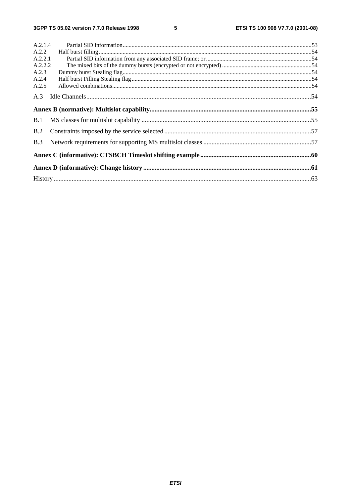| A.2.1.4 |  |
|---------|--|
| A.2.2   |  |
| A.2.2.1 |  |
| A.2.2.2 |  |
| A.2.3   |  |
| A.2.4   |  |
| A.2.5   |  |
| A.3     |  |
|         |  |
| B.1     |  |
| B.2     |  |
| B.3     |  |
|         |  |
|         |  |
|         |  |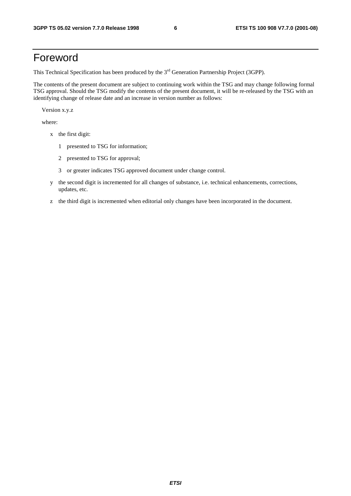### Foreword

This Technical Specification has been produced by the 3<sup>rd</sup> Generation Partnership Project (3GPP).

The contents of the present document are subject to continuing work within the TSG and may change following formal TSG approval. Should the TSG modify the contents of the present document, it will be re-released by the TSG with an identifying change of release date and an increase in version number as follows:

Version x.y.z

where:

- x the first digit:
	- 1 presented to TSG for information;
	- 2 presented to TSG for approval;
	- 3 or greater indicates TSG approved document under change control.
- y the second digit is incremented for all changes of substance, i.e. technical enhancements, corrections, updates, etc.
- z the third digit is incremented when editorial only changes have been incorporated in the document.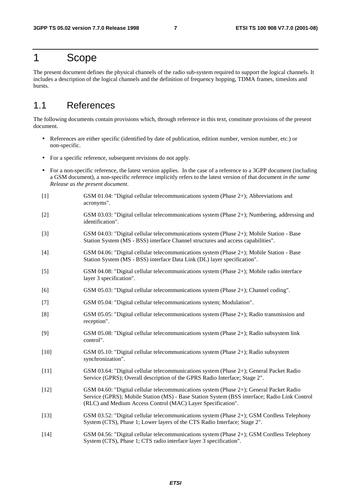### 1 Scope

The present document defines the physical channels of the radio sub-system required to support the logical channels. It includes a description of the logical channels and the definition of frequency hopping, TDMA frames, timeslots and bursts.

### 1.1 References

The following documents contain provisions which, through reference in this text, constitute provisions of the present document.

- References are either specific (identified by date of publication, edition number, version number, etc.) or non-specific.
- For a specific reference, subsequent revisions do not apply.
- For a non-specific reference, the latest version applies. In the case of a reference to a 3GPP document (including a GSM document), a non-specific reference implicitly refers to the latest version of that document *in the same Release as the present document*.
- [1] GSM 01.04: "Digital cellular telecommunications system (Phase 2+); Abbreviations and acronyms".
- [2] GSM 03.03: "Digital cellular telecommunications system (Phase 2+); Numbering, addressing and identification".
- [3] GSM 04.03: "Digital cellular telecommunications system (Phase 2+); Mobile Station Base Station System (MS - BSS) interface Channel structures and access capabilities".
- [4] GSM 04.06: "Digital cellular telecommunications system (Phase 2+); Mobile Station Base Station System (MS - BSS) interface Data Link (DL) layer specification".
- [5] GSM 04.08: "Digital cellular telecommunications system (Phase 2+); Mobile radio interface layer 3 specification".
- [6] GSM 05.03: "Digital cellular telecommunications system (Phase 2+); Channel coding".
- [7] GSM 05.04: "Digital cellular telecommunications system; Modulation".
- [8] GSM 05.05: "Digital cellular telecommunications system (Phase 2+); Radio transmission and reception".
- [9] GSM 05.08: "Digital cellular telecommunications system (Phase 2+); Radio subsystem link control".
- [10] GSM 05.10: "Digital cellular telecommunications system (Phase 2+); Radio subsystem synchronization".
- [11] GSM 03.64: "Digital cellular telecommunications system (Phase 2+); General Packet Radio Service (GPRS); Overall description of the GPRS Radio Interface; Stage 2".
- [12] GSM 04.60: "Digital cellular telecommunications system (Phase 2+); General Packet Radio Service (GPRS); Mobile Station (MS) - Base Station System (BSS interface; Radio Link Control (RLC) and Medium Access Control (MAC) Layer Specification".
- [13] GSM 03.52: "Digital cellular telecommunications system (Phase 2+); GSM Cordless Telephony System (CTS), Phase 1; Lower layers of the CTS Radio Interface; Stage 2".
- [14] GSM 04.56: "Digital cellular telecommunications system (Phase 2+); GSM Cordless Telephony System (CTS), Phase 1; CTS radio interface layer 3 specification".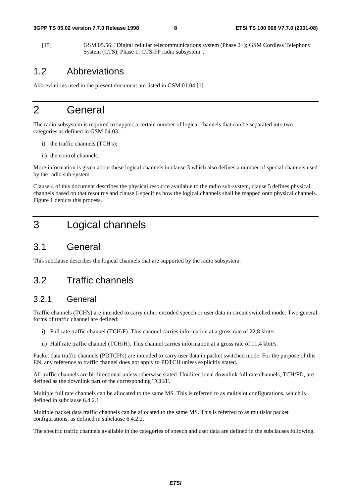[15] GSM 05.56: "Digital cellular telecommunications system (Phase 2+); GSM Cordless Telephony System (CTS), Phase 1; CTS-FP radio subsystem".

### 1.2 Abbreviations

Abbreviations used in the present document are listed in GSM 01.04 [1].

### 2 General

The radio subsystem is required to support a certain number of logical channels that can be separated into two categories as defined in GSM 04.03:

- i) the traffic channels (TCH's);
- ii) the control channels.

More information is given about these logical channels in clause 3 which also defines a number of special channels used by the radio sub-system.

Clause 4 of this document describes the physical resource available to the radio sub-system, clause 5 defines physical channels based on that resource and clause 6 specifies how the logical channels shall be mapped onto physical channels. Figure 1 depicts this process.

### 3 Logical channels

#### 3.1 General

This subclause describes the logical channels that are supported by the radio subsystem.

### 3.2 Traffic channels

#### 3.2.1 General

Traffic channels (TCH's) are intended to carry either encoded speech or user data in circuit switched mode. Two general forms of traffic channel are defined:

- i) Full rate traffic channel (TCH/F). This channel carries information at a gross rate of 22,8 kbit/s.
- ii) Half rate traffic channel (TCH/H). This channel carries information at a gross rate of 11,4 kbit/s.

Packet data traffic channels (PDTCH's) are intended to carry user data in packet switched mode. For the purpose of this EN, any reference to traffic channel does not apply to PDTCH unless explicitly stated.

All traffic channels are bi-directional unless otherwise stated. Unidirectional downlink full rate channels, TCH/FD, are defined as the downlink part of the corresponding TCH/F.

Multiple full rate channels can be allocated to the same MS. This is referred to as multislot configurations, which is defined in subclause 6.4.2.1.

Multiple packet data traffic channels can be allocated to the same MS. This is referred to as multislot packet configurations, as defined in subclause 6.4.2.2.

The specific traffic channels available in the categories of speech and user data are defined in the subclauses following.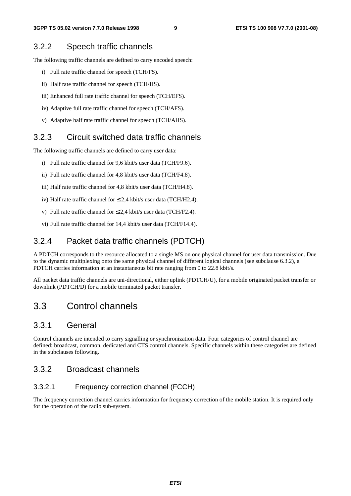#### 3.2.2 Speech traffic channels

The following traffic channels are defined to carry encoded speech:

- i) Full rate traffic channel for speech (TCH/FS).
- ii) Half rate traffic channel for speech (TCH/HS).
- iii) Enhanced full rate traffic channel for speech (TCH/EFS).
- iv) Adaptive full rate traffic channel for speech (TCH/AFS).
- v) Adaptive half rate traffic channel for speech (TCH/AHS).

#### 3.2.3 Circuit switched data traffic channels

The following traffic channels are defined to carry user data:

- i) Full rate traffic channel for 9,6 kbit/s user data (TCH/F9.6).
- ii) Full rate traffic channel for 4,8 kbit/s user data (TCH/F4.8).
- iii) Half rate traffic channel for 4,8 kbit/s user data (TCH/H4.8).
- iv) Half rate traffic channel for  $\leq 2.4$  kbit/s user data (TCH/H2.4).
- v) Full rate traffic channel for  $\leq 2.4$  kbit/s user data (TCH/F2.4).
- vi) Full rate traffic channel for 14,4 kbit/s user data (TCH/F14.4).

#### 3.2.4 Packet data traffic channels (PDTCH)

A PDTCH corresponds to the resource allocated to a single MS on one physical channel for user data transmission. Due to the dynamic multiplexing onto the same physical channel of different logical channels (see subclause 6.3.2), a PDTCH carries information at an instantaneous bit rate ranging from 0 to 22.8 kbit/s.

All packet data traffic channels are uni-directional, either uplink (PDTCH/U), for a mobile originated packet transfer or downlink (PDTCH/D) for a mobile terminated packet transfer.

### 3.3 Control channels

#### 3.3.1 General

Control channels are intended to carry signalling or synchronization data. Four categories of control channel are defined: broadcast, common, dedicated and CTS control channels. Specific channels within these categories are defined in the subclauses following.

#### 3.3.2 Broadcast channels

#### 3.3.2.1 Frequency correction channel (FCCH)

The frequency correction channel carries information for frequency correction of the mobile station. It is required only for the operation of the radio sub-system.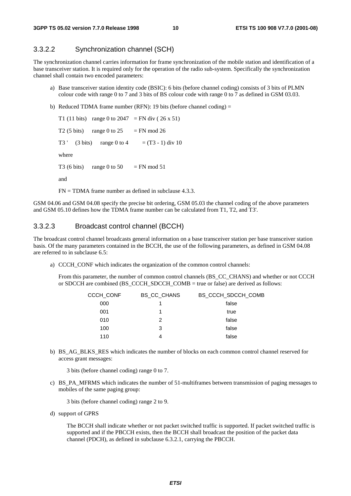#### 3.3.2.2 Synchronization channel (SCH)

The synchronization channel carries information for frame synchronization of the mobile station and identification of a base transceiver station. It is required only for the operation of the radio sub-system. Specifically the synchronization channel shall contain two encoded parameters:

- a) Base transceiver station identity code (BSIC): 6 bits (before channel coding) consists of 3 bits of PLMN colour code with range 0 to 7 and 3 bits of BS colour code with range 0 to 7 as defined in GSM 03.03.
- b) Reduced TDMA frame number (RFN): 19 bits (before channel coding) =

T1 (11 bits) range 0 to 2047 = FN div (26 x 51) T2 (5 bits) range 0 to  $25 = FN$  mod 26 T3 ' (3 bits) range 0 to 4 =  $(T3 - 1)$  div 10 where T3 (6 bits) range 0 to 50 = FN mod 51 and  $FN = TDMA$  frame number as defined in subclause 4.3.3.

GSM 04.06 and GSM 04.08 specify the precise bit ordering, GSM 05.03 the channel coding of the above parameters and GSM 05.10 defines how the TDMA frame number can be calculated from T1, T2, and T3'.

#### 3.3.2.3 Broadcast control channel (BCCH)

The broadcast control channel broadcasts general information on a base transceiver station per base transceiver station basis. Of the many parameters contained in the BCCH, the use of the following parameters, as defined in GSM 04.08 are referred to in subclause 6.5:

a) CCCH\_CONF which indicates the organization of the common control channels:

 From this parameter, the number of common control channels (BS\_CC\_CHANS) and whether or not CCCH or SDCCH are combined (BS\_CCCH\_SDCCH\_COMB = true or false) are derived as follows:

| <b>CCCH CONF</b> | <b>BS CC CHANS</b> | BS CCCH SDCCH COMB |
|------------------|--------------------|--------------------|
| 000              |                    | false              |
| 001              |                    | true               |
| 010              | 2                  | false              |
| 100              | 3                  | false              |
| 110              | 4                  | false              |
|                  |                    |                    |

b) BS\_AG\_BLKS\_RES which indicates the number of blocks on each common control channel reserved for access grant messages:

3 bits (before channel coding) range 0 to 7.

c) BS\_PA\_MFRMS which indicates the number of 51-multiframes between transmission of paging messages to mobiles of the same paging group:

3 bits (before channel coding) range 2 to 9.

d) support of GPRS

 The BCCH shall indicate whether or not packet switched traffic is supported. If packet switched traffic is supported and if the PBCCH exists, then the BCCH shall broadcast the position of the packet data channel (PDCH), as defined in subclause 6.3.2.1, carrying the PBCCH.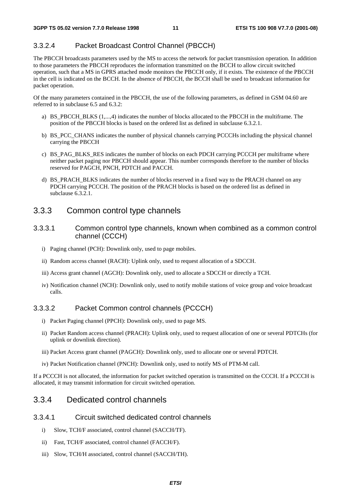#### 3.3.2.4 Packet Broadcast Control Channel (PBCCH)

The PBCCH broadcasts parameters used by the MS to access the network for packet transmission operation. In addition to those parameters the PBCCH reproduces the information transmitted on the BCCH to allow circuit switched operation, such that a MS in GPRS attached mode monitors the PBCCH only, if it exists. The existence of the PBCCH in the cell is indicated on the BCCH. In the absence of PBCCH, the BCCH shall be used to broadcast information for packet operation.

Of the many parameters contained in the PBCCH, the use of the following parameters, as defined in GSM 04.60 are referred to in subclause 6.5 and 6.3.2:

- a) BS\_PBCCH\_BLKS (1,...,4) indicates the number of blocks allocated to the PBCCH in the multiframe. The position of the PBCCH blocks is based on the ordered list as defined in subclause 6.3.2.1.
- b) BS\_PCC\_CHANS indicates the number of physical channels carrying PCCCHs including the physical channel carrying the PBCCH
- c) BS\_PAG\_BLKS\_RES indicates the number of blocks on each PDCH carrying PCCCH per multiframe where neither packet paging nor PBCCH should appear. This number corresponds therefore to the number of blocks reserved for PAGCH, PNCH, PDTCH and PACCH.
- d) BS\_PRACH\_BLKS indicates the number of blocks reserved in a fixed way to the PRACH channel on any PDCH carrying PCCCH. The position of the PRACH blocks is based on the ordered list as defined in subclause 6.3.2.1.

#### 3.3.3 Common control type channels

- 3.3.3.1 Common control type channels, known when combined as a common control channel (CCCH)
	- i) Paging channel (PCH): Downlink only, used to page mobiles.
	- ii) Random access channel (RACH): Uplink only, used to request allocation of a SDCCH.
	- iii) Access grant channel (AGCH): Downlink only, used to allocate a SDCCH or directly a TCH.
	- iv) Notification channel (NCH): Downlink only, used to notify mobile stations of voice group and voice broadcast calls.

#### 3.3.3.2 Packet Common control channels (PCCCH)

- i) Packet Paging channel (PPCH): Downlink only, used to page MS.
- ii) Packet Random access channel (PRACH): Uplink only, used to request allocation of one or several PDTCHs (for uplink or downlink direction).
- iii) Packet Access grant channel (PAGCH): Downlink only, used to allocate one or several PDTCH.
- iv) Packet Notification channel (PNCH): Downlink only, used to notify MS of PTM-M call.

If a PCCCH is not allocated, the information for packet switched operation is transmitted on the CCCH. If a PCCCH is allocated, it may transmit information for circuit switched operation.

#### 3.3.4 Dedicated control channels

#### 3.3.4.1 Circuit switched dedicated control channels

- i) Slow, TCH/F associated, control channel (SACCH/TF).
- ii) Fast, TCH/F associated, control channel (FACCH/F).
- iii) Slow, TCH/H associated, control channel (SACCH/TH).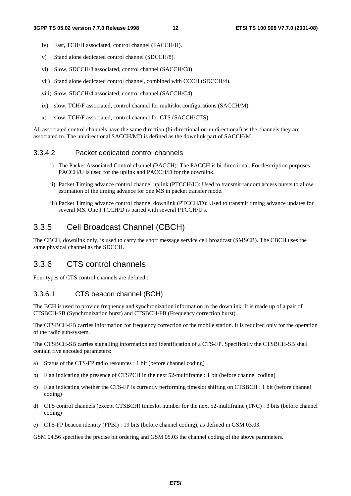- iv) Fast, TCH/H associated, control channel (FACCH/H).
- v) Stand alone dedicated control channel (SDCCH/8).
- vi) Slow, SDCCH/8 associated, control channel (SACCH/C8)
- vii) Stand alone dedicated control channel, combined with CCCH (SDCCH/4).
- viii) Slow, SDCCH/4 associated, control channel (SACCH/C4).
- ix) slow, TCH/F associated, control channel for multislot configurations (SACCH/M).
- x) slow, TCH/F associated, control channel for CTS (SACCH/CTS).

All associated control channels have the same direction (bi-directional or unidirectional) as the channels they are associated to. The unidirectional SACCH/MD is defined as the downlink part of SACCH/M.

#### 3.3.4.2 Packet dedicated control channels

- i) The Packet Associated Control channel (PACCH): The PACCH is bi-directional. For description purposes PACCH/U is used for the uplink and PACCH/D for the downlink.
- ii) Packet Timing advance control channel uplink (PTCCH/U): Used to transmit random access bursts to allow estimation of the timing advance for one MS in packet transfer mode.
- iii) Packet Timing advance control channel downlink (PTCCH/D): Used to transmit timing advance updates for several MS. One PTCCH/D is paired with several PTCCH/U's.

#### 3.3.5 Cell Broadcast Channel (CBCH)

The CBCH, downlink only, is used to carry the short message service cell broadcast (SMSCB). The CBCH uses the same physical channel as the SDCCH.

#### 3.3.6 CTS control channels

Four types of CTS control channels are defined :

#### 3.3.6.1 CTS beacon channel (BCH)

The BCH is used to provide frequency and synchronization information in the downlink. It is made up of a pair of CTSBCH-SB (Synchronization burst) and CTSBCH-FB (Frequency correction burst).

The CTSBCH-FB carries information for frequency correction of the mobile station. It is required only for the operation of the radio sub-system.

The CTSBCH-SB carries signalling information and identification of a CTS-FP. Specifically the CTSBCH-SB shall contain five encoded parameters:

- a) Status of the CTS-FP radio resources : 1 bit (before channel coding)
- b) Flag indicating the presence of CTSPCH in the next 52-multiframe : 1 bit (before channel coding)
- c) Flag indicating whether the CTS-FP is currently performing timeslot shifting on CTSBCH : 1 bit (before channel coding)
- d) CTS control channels (except CTSBCH) timeslot number for the next 52-multiframe (TNC) : 3 bits (before channel coding)
- e) CTS-FP beacon identity (FPBI) : 19 bits (before channel coding), as defined in GSM 03.03.

GSM 04.56 specifies the precise bit ordering and GSM 05.03 the channel coding of the above parameters.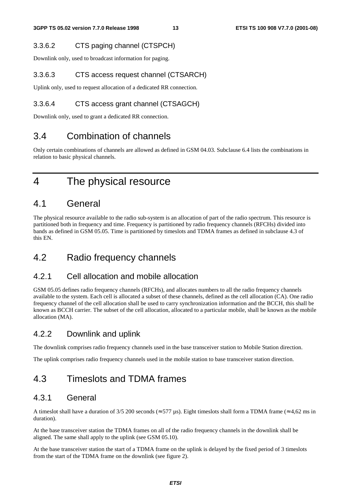#### 3.3.6.2 CTS paging channel (CTSPCH)

Downlink only, used to broadcast information for paging.

#### 3.3.6.3 CTS access request channel (CTSARCH)

Uplink only, used to request allocation of a dedicated RR connection.

#### 3.3.6.4 CTS access grant channel (CTSAGCH)

Downlink only, used to grant a dedicated RR connection.

### 3.4 Combination of channels

Only certain combinations of channels are allowed as defined in GSM 04.03. Subclause 6.4 lists the combinations in relation to basic physical channels.

4 The physical resource

### 4.1 General

The physical resource available to the radio sub-system is an allocation of part of the radio spectrum. This resource is partitioned both in frequency and time. Frequency is partitioned by radio frequency channels (RFCHs) divided into bands as defined in GSM 05.05. Time is partitioned by timeslots and TDMA frames as defined in subclause 4.3 of this EN.

### 4.2 Radio frequency channels

#### 4.2.1 Cell allocation and mobile allocation

GSM 05.05 defines radio frequency channels (RFCHs), and allocates numbers to all the radio frequency channels available to the system. Each cell is allocated a subset of these channels, defined as the cell allocation (CA). One radio frequency channel of the cell allocation shall be used to carry synchronization information and the BCCH, this shall be known as BCCH carrier. The subset of the cell allocation, allocated to a particular mobile, shall be known as the mobile allocation (MA).

### 4.2.2 Downlink and uplink

The downlink comprises radio frequency channels used in the base transceiver station to Mobile Station direction.

The uplink comprises radio frequency channels used in the mobile station to base transceiver station direction.

### 4.3 Timeslots and TDMA frames

#### 4.3.1 General

A timeslot shall have a duration of 3/5 200 seconds ( $\approx$  577 µs). Eight timeslots shall form a TDMA frame ( $\approx$  4,62 ms in duration).

At the base transceiver station the TDMA frames on all of the radio frequency channels in the downlink shall be aligned. The same shall apply to the uplink (see GSM 05.10).

At the base transceiver station the start of a TDMA frame on the uplink is delayed by the fixed period of 3 timeslots from the start of the TDMA frame on the downlink (see figure 2).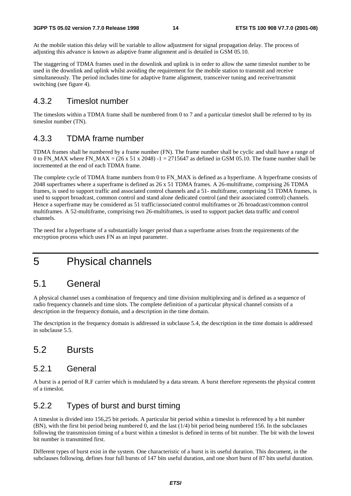At the mobile station this delay will be variable to allow adjustment for signal propagation delay. The process of adjusting this advance is known as adaptive frame alignment and is detailed in GSM 05.10.

The staggering of TDMA frames used in the downlink and uplink is in order to allow the same timeslot number to be used in the downlink and uplink whilst avoiding the requirement for the mobile station to transmit and receive simultaneously. The period includes time for adaptive frame alignment, transceiver tuning and receive/transmit switching (see figure 4).

### 4.3.2 Timeslot number

The timeslots within a TDMA frame shall be numbered from 0 to 7 and a particular timeslot shall be referred to by its timeslot number (TN).

### 4.3.3 TDMA frame number

TDMA frames shall be numbered by a frame number (FN). The frame number shall be cyclic and shall have a range of 0 to FN\_MAX where FN\_MAX =  $(26 \times 51 \times 2048)$  -1 = 2715647 as defined in GSM 05.10. The frame number shall be incremented at the end of each TDMA frame.

The complete cycle of TDMA frame numbers from 0 to FN\_MAX is defined as a hyperframe. A hyperframe consists of 2048 superframes where a superframe is defined as 26 x 51 TDMA frames. A 26-multiframe, comprising 26 TDMA frames, is used to support traffic and associated control channels and a 51- multiframe, comprising 51 TDMA frames, is used to support broadcast, common control and stand alone dedicated control (and their associated control) channels. Hence a superframe may be considered as 51 traffic/associated control multiframes or 26 broadcast/common control multiframes. A 52-multiframe, comprising two 26-multiframes, is used to support packet data traffic and control channels.

The need for a hyperframe of a substantially longer period than a superframe arises from the requirements of the encryption process which uses FN as an input parameter.

### 5 Physical channels

### 5.1 General

A physical channel uses a combination of frequency and time division multiplexing and is defined as a sequence of radio frequency channels and time slots. The complete definition of a particular physical channel consists of a description in the frequency domain, and a description in the time domain.

The description in the frequency domain is addressed in subclause 5.4, the description in the time domain is addressed in subclause 5.5.

### 5.2 Bursts

#### 5.2.1 General

A burst is a period of R.F carrier which is modulated by a data stream. A burst therefore represents the physical content of a timeslot.

### 5.2.2 Types of burst and burst timing

A timeslot is divided into 156,25 bit periods. A particular bit period within a timeslot is referenced by a bit number (BN), with the first bit period being numbered 0, and the last (1/4) bit period being numbered 156. In the subclauses following the transmission timing of a burst within a timeslot is defined in terms of bit number. The bit with the lowest bit number is transmitted first.

Different types of burst exist in the system. One characteristic of a burst is its useful duration. This document, in the subclauses following, defines four full bursts of 147 bits useful duration, and one short burst of 87 bits useful duration.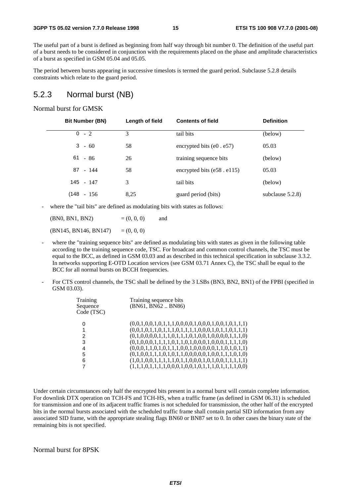The useful part of a burst is defined as beginning from half way through bit number 0. The definition of the useful part of a burst needs to be considered in conjunction with the requirements placed on the phase and amplitude characteristics of a burst as specified in GSM 05.04 and 05.05.

The period between bursts appearing in successive timeslots is termed the guard period. Subclause 5.2.8 details constraints which relate to the guard period.

#### 5.2.3 Normal burst (NB)

#### Normal burst for GMSK

| <b>Bit Number (BN)</b> | Length of field | <b>Contents of field</b>          | <b>Definition</b>   |
|------------------------|-----------------|-----------------------------------|---------------------|
| $0 - 2$                | 3               | tail bits                         | (below)             |
| $3 - 60$               | 58              | encrypted bits $(e0. e57)$        | 05.03               |
| $61 - 86$              | 26              | training sequence bits            | (below)             |
| $87 - 144$             | 58              | encrypted bits $(e58 \cdot e115)$ | 05.03               |
| 145 - 147              | 3               | tail bits                         | (below)             |
| $(148 - 156)$          | 8.25            | guard period (bits)               | subclause $5.2.8$ ) |

where the "tail bits" are defined as modulating bits with states as follows:

 $(BN0, BN1, BN2)$  =  $(0, 0, 0)$  and  $(BN145, BN146, BN147) = (0, 0, 0)$ 

- where the "training sequence bits" are defined as modulating bits with states as given in the following table according to the training sequence code, TSC. For broadcast and common control channels, the TSC must be equal to the BCC, as defined in GSM 03.03 and as described in this technical specification in subclause 3.3.2. In networks supporting E-OTD Location services (see GSM 03.71 Annex C), the TSC shall be equal to the BCC for all normal bursts on BCCH frequencies.
- For CTS control channels, the TSC shall be defined by the 3 LSBs (BN3, BN2, BN1) of the FPBI (specified in GSM 03.03).

| Training<br>Sequence<br>Code (TSC) | Training sequence bits<br>(BN61, BN62 BN86)             |
|------------------------------------|---------------------------------------------------------|
|                                    | $(0,0,1,0,0,1,0,1,1,1,0,0,0,0,1,0,0,1,0,0,1,0,1,1,1)$   |
| 1                                  | $(0,0,1,0,1,1,0,1,1,1,0,1,1,1,1,0,0,0,1,0,1,1,0,1,1,1)$ |
| 2                                  | $(0,1,0,0,0,0,1,1,1,0,1,1,1,0,1,0,0,1,0,0,0,0,1,1,1,0)$ |
| 3                                  | $(0,1,0,0,0,1,1,1,1,0,1,1,0,1,0,0,0,1,0,0,0,1,1,1,1,0)$ |
| 4                                  | $(0,0,0,1,1,0,1,0,1,1,1,0,0,1,0,0,0,0,0,1,1,0,1,0,1,1)$ |
| 5                                  | $(0,1,0,0,1,1,1,0,1,0,1,1,0,0,0,0,0,1,0,0,1,1,1,0,1,0)$ |
| 6                                  |                                                         |
|                                    | $(1,1,1,0,1,1,1,1,0,0,0,1,0,0,1,0,1,1,1,0,1,1,1,1,0,0)$ |

Under certain circumstances only half the encrypted bits present in a normal burst will contain complete information. For downlink DTX operation on TCH-FS and TCH-HS, when a traffic frame (as defined in GSM 06.31) is scheduled for transmission and one of its adjacent traffic frames is not scheduled for transmission, the other half of the encrypted bits in the normal bursts associated with the scheduled traffic frame shall contain partial SID information from any associated SID frame, with the appropriate stealing flags BN60 or BN87 set to 0. In other cases the binary state of the remaining bits is not specified.

#### Normal burst for 8PSK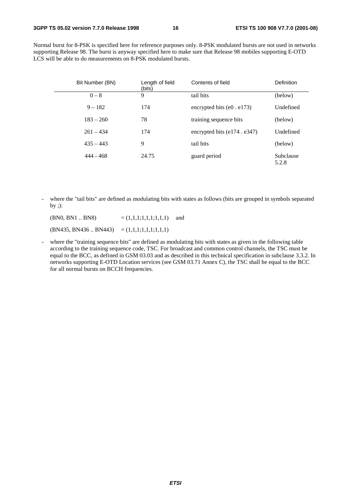Normal burst for 8-PSK is specified here for reference purposes only. 8-PSK modulated bursts are not used in networks supporting Release 98. The burst is anyway specified here to make sure that Release 98 mobiles supporting E-OTD LCS will be able to do measurements on 8-PSK modulated bursts.

| Bit Number (BN) | Length of field<br>(bits) | Contents of field                  | Definition         |
|-----------------|---------------------------|------------------------------------|--------------------|
| $0 - 8$         | 9                         | tail bits                          | (below)            |
| $9 - 182$       | 174                       | encrypted bits $(e0. e173)$        | Undefined          |
| $183 - 260$     | 78                        | training sequence bits             | (below)            |
| $261 - 434$     | 174                       | encrypted bits $(e174 \cdot e347)$ | Undefined          |
| $435 - 443$     | 9                         | tail bits                          | (below)            |
| 444 - 468       | 24.75                     | guard period                       | Subclause<br>5.2.8 |

- where the "tail bits" are defined as modulating bits with states as follows (bits are grouped in symbols separated by ;):

 $(BN0, BN1 \dots BN8)$  =  $(1,1,1,1,1,1,1,1)$  and  $(BN435, BN436..BN443) = (1,1,1;1,1,1;1,1,1)$ 

- where the "training sequence bits" are defined as modulating bits with states as given in the following table according to the training sequence code, TSC. For broadcast and common control channels, the TSC must be equal to the BCC, as defined in GSM 03.03 and as described in this technical specification in subclause 3.3.2. In networks supporting E-OTD Location services (see GSM 03.71 Annex C), the TSC shall be equal to the BCC for all normal bursts on BCCH frequencies.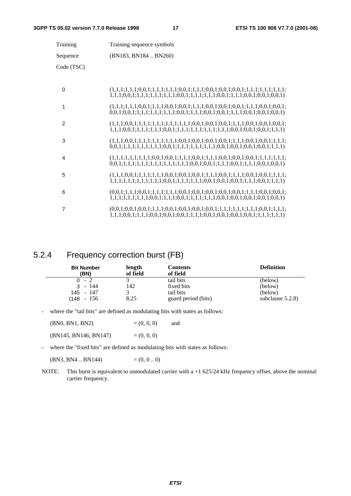| Training       | Training sequence symbols                                                                                                                                                                                      |
|----------------|----------------------------------------------------------------------------------------------------------------------------------------------------------------------------------------------------------------|
| Sequence       | (BN183, BN184  BN260)                                                                                                                                                                                          |
| Code (TSC)     |                                                                                                                                                                                                                |
| $\Omega$       |                                                                                                                                                                                                                |
| 1              |                                                                                                                                                                                                                |
| 2              |                                                                                                                                                                                                                |
| 3              |                                                                                                                                                                                                                |
| 4              | $0,0,1;1,1,1;1,1,1,1,1,1,1,1,1,1,1,1,1,0,0,1;0,0,1;1,1,1,0,0,1;1,1,1,0,0,1;0,0,1)$                                                                                                                             |
| 5              | $(1,1,1;0,0,1;1,1,1;1,1,1;0,0,1;0,0,1;0,0,1;1,1,1;0,0,1;1,1,1;0,0,1;0,0,1;1,1,1;$<br>$1, 1, 1, 1, 1, 1, 1, 1, 1, 1, 1, 1, 1, 0, 0, 1, 1, 1, 1, 1, 1, 1, 0, 0, 1, 1, 0, 0, 1, 1, 1, 1, 1, 0, 0, 1, 1, 1, 1, 1)$ |
| 6              |                                                                                                                                                                                                                |
| $\overline{7}$ | $1,1,1;0,0,1;1,1,1;0,0,1;0,0,1;0,0,1;1,1,1;0,0,1;0,0,1;0,0,1;0,0,1;1,1,1;1,1,1)$                                                                                                                               |

#### 5.2.4 Frequency correction burst (FB)

| <b>Bit Number</b><br>(BN) | length<br>of field | Contents<br>of field | <b>Definition</b>   |
|---------------------------|--------------------|----------------------|---------------------|
| $0 - 2$                   |                    | tail bits            | (below)             |
| - 144<br>3                | 142                | fixed bits           | (below)             |
| $145 - 147$               |                    | tail bits            | (below)             |
| (148 - 156                | 8,25               | guard period (bits)  | subclause $5.2.8$ ) |

- where the "tail bits" are defined as modulating bits with states as follows:

| (BN0, BN1, BN2)       | $= (0, 0, 0)$ | and |
|-----------------------|---------------|-----|
| (BN145, BN146, BN147) | $= (0, 0, 0)$ |     |

- where the "fixed bits" are defined as modulating bits with states as follows:

(BN3, BN4 .. BN144)  $=(0, 0..0)$ 

NOTE: This burst is equivalent to unmodulated carrier with a +1 625/24 kHz frequency offset, above the nominal carrier frequency.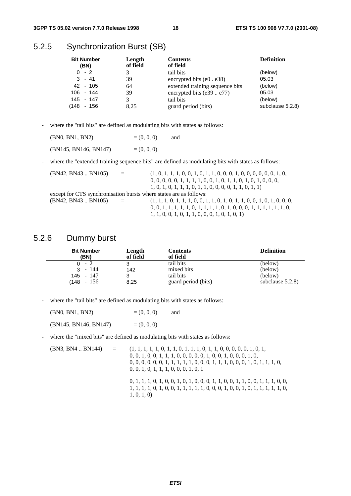### 5.2.5 Synchronization Burst (SB)

| <b>Bit Number</b><br>(BN) |     | Length<br>of field | <b>Contents</b><br>of field     | <b>Definition</b> |
|---------------------------|-----|--------------------|---------------------------------|-------------------|
| $0 - 2$                   |     |                    | tail bits                       | (below)           |
| $3 - 41$                  |     | 39                 | encrypted bits $(e0. e38)$      | 05.03             |
| 42 - 105                  |     | 64                 | extended training sequence bits | (below)           |
| $106 - 144$               |     | 39                 | encrypted bits $(e39e77)$       | 05.03             |
| 145 - 147                 |     |                    | tail bits                       | (below)           |
| (148<br>$\sim$ $-$        | 156 | 8.25               | guard period (bits)             | subclause 5.2.8)  |

- where the "tail bits" are defined as modulating bits with states as follows:

| (BN0, BN1, BN2)       | $= (0, 0, 0)$ | and |
|-----------------------|---------------|-----|
| (BN145, BN146, BN147) | $= (0, 0, 0)$ |     |

- where the "extended training sequence bits" are defined as modulating bits with states as follows:

| (BN42, BN43 BN105) | $\alpha = 1$ | $(1, 0, 1, 1, 1, 0, 0, 1, 0, 1, 1, 0, 0, 0, 1, 0, 0, 0, 0, 0, 0, 1, 0,$   |
|--------------------|--------------|---------------------------------------------------------------------------|
|                    |              | $0, 0, 0, 0, 0, 1, 1, 1, 1, 0, 0, 1, 0, 1, 1, 0, 1, 0, 1, 0, 0, 0,$       |
|                    |              | $1, 0, 1, 0, 1, 1, 1, 0, 1, 1, 0, 0, 0, 0, 1, 1, 0, 1, 1)$                |
|                    |              | except for CTS synchronisation bursts where states are as follows:        |
| (BN42, BN43 BN105) | $\alpha = 1$ |                                                                           |
|                    |              | $0, 0, 1, 1, 1, 1, 1, 0, 1, 1, 1, 1, 0, 1, 0, 0, 0, 1, 1, 1, 1, 1, 1, 0,$ |
|                    |              | $1, 1, 0, 0, 1, 0, 1, 1, 0, 0, 0, 1, 0, 1, 0, 1)$                         |

#### 5.2.6 Dummy burst

| <b>Bit Number</b>     | Length   | <b>Contents</b>         | <b>Definition</b>   |
|-----------------------|----------|-------------------------|---------------------|
| (BN)                  | of field | of field                |                     |
| $0 - 2$<br>- 144<br>3 | 3<br>142 | tail bits<br>mixed bits | (below)<br>(below)  |
| 145 - 147             | 8,25     | tail bits               | (below)             |
| $(148 - 156)$         |          | guard period (bits)     | subclause $5.2.8$ ) |

- where the "tail bits" are defined as modulating bits with states as follows:

| (BN0, BN1, BN2)       | $= (0, 0, 0)$ | and |
|-----------------------|---------------|-----|
| (BN145, BN146, BN147) | $= (0, 0, 0)$ |     |

where the "mixed bits" are defined as modulating bits with states as follows:

(BN3, BN4 .. BN144) = (1, 1, 1, 1, 1, 0, 1, 1, 0, 1, 1, 1, 0, 1, 1, 0, 0, 0, 0, 0, 1, 0, 1, 0, 0, 1, 0, 0, 1, 1, 1, 0, 0, 0, 0, 0, 1, 0, 0, 1, 0, 0, 0, 1, 0, 0, 0, 0, 0, 0, 0, 1, 1, 1, 1, 1, 0, 0, 0, 1, 1, 1, 0, 0, 0, 1, 0, 1, 1, 1, 0, 0, 0, 1, 0, 1, 1, 1, 0, 0, 0, 1, 0, 1

> 0, 1, 1, 1, 0, 1, 0, 0, 1, 0, 1, 0, 0, 0, 1, 1, 0, 0, 1, 1, 0, 0, 1, 1, 1, 0, 0, 1, 1, 1, 1, 0, 1, 0, 0, 1, 1, 1, 1, 1, 0, 0, 0, 1, 0, 0, 1, 0, 1, 1, 1, 1, 1, 0, 1, 0, 1, 0)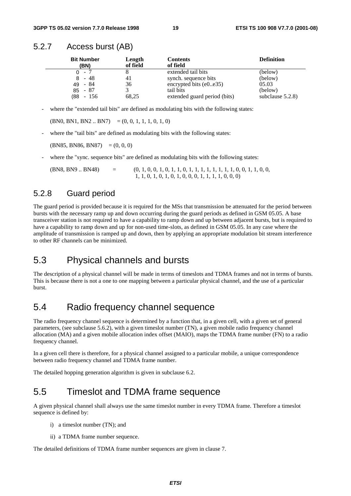#### 5.2.7 Access burst (AB)

| <b>Bit Number</b><br>(BN) | Length<br>of field | <b>Contents</b><br>of field  | <b>Definition</b>   |
|---------------------------|--------------------|------------------------------|---------------------|
| $-7$<br>0.                |                    | extended tail bits           | (below)             |
| - 48<br>8                 | 41                 | synch. sequence bits         | (below)             |
| - 84<br>49                | 36                 | encrypted bits $(e0e35)$     | 05.03               |
| $85 - 87$                 |                    | tail bits                    | (below)             |
| $(88 - 156)$              | 68,25              | extended guard period (bits) | subclause $5.2.8$ ) |

where the "extended tail bits" are defined as modulating bits with the following states:

 $(BN0, BN1, BN2.. BN7) = (0, 0, 1, 1, 1, 0, 1, 0)$ 

where the "tail bits" are defined as modulating bits with the following states:

 $(BN85, BN86, BN87) = (0, 0, 0)$ 

where the "sync. sequence bits" are defined as modulating bits with the following states:

 $(BNS, BNS, SN9)$  = (0, 1, 0, 0, 1, 0, 1, 1, 0, 1, 1, 1, 1, 1, 1, 1, 1, 0, 0, 1, 1, 0, 0, 1, 1, 0, 0, 1, 1, 0, 0, 1, 1, 0, 0, 1, 1, 0, 0, 1, 1, 0, 0, 1, 1, 0, 0, 1, 1, 0, 0, 1, 1, 0, 0, 1, 1, 0, 0, 1, 1, 0, 0, 1, 1, 0, 0, 1, 1, 1, 1, 0, 1, 0, 1, 0, 1, 0, 0, 0, 1, 1, 1, 1, 0, 0, 0)

#### 5.2.8 Guard period

The guard period is provided because it is required for the MSs that transmission be attenuated for the period between bursts with the necessary ramp up and down occurring during the guard periods as defined in GSM 05.05. A base transceiver station is not required to have a capability to ramp down and up between adjacent bursts, but is required to have a capability to ramp down and up for non-used time-slots, as defined in GSM 05.05. In any case where the amplitude of transmission is ramped up and down, then by applying an appropriate modulation bit stream interference to other RF channels can be minimized.

### 5.3 Physical channels and bursts

The description of a physical channel will be made in terms of timeslots and TDMA frames and not in terms of bursts. This is because there is not a one to one mapping between a particular physical channel, and the use of a particular burst.

### 5.4 Radio frequency channel sequence

The radio frequency channel sequence is determined by a function that, in a given cell, with a given set of general parameters, (see subclause 5.6.2), with a given timeslot number (TN), a given mobile radio frequency channel allocation (MA) and a given mobile allocation index offset (MAIO), maps the TDMA frame number (FN) to a radio frequency channel.

In a given cell there is therefore, for a physical channel assigned to a particular mobile, a unique correspondence between radio frequency channel and TDMA frame number.

The detailed hopping generation algorithm is given in subclause 6.2.

### 5.5 Timeslot and TDMA frame sequence

A given physical channel shall always use the same timeslot number in every TDMA frame. Therefore a timeslot sequence is defined by:

- i) a timeslot number (TN); and
- ii) a TDMA frame number sequence.

The detailed definitions of TDMA frame number sequences are given in clause 7.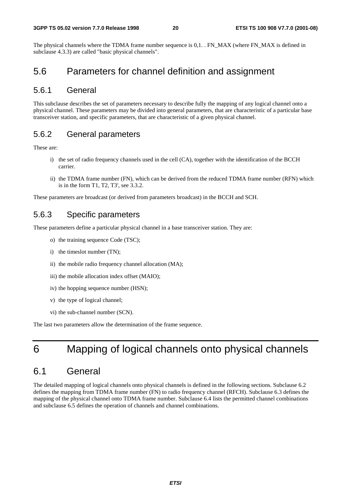#### **3GPP TS 05.02 version 7.7.0 Release 1998 20 ETSI TS 100 908 V7.7.0 (2001-08)**

The physical channels where the TDMA frame number sequence is 0,1. . FN\_MAX (where FN\_MAX is defined in subclause 4.3.3) are called "basic physical channels".

### 5.6 Parameters for channel definition and assignment

#### 5.6.1 General

This subclause describes the set of parameters necessary to describe fully the mapping of any logical channel onto a physical channel. These parameters may be divided into general parameters, that are characteristic of a particular base transceiver station, and specific parameters, that are characteristic of a given physical channel.

#### 5.6.2 General parameters

These are:

- i) the set of radio frequency channels used in the cell (CA), together with the identification of the BCCH carrier.
- ii) the TDMA frame number (FN), which can be derived from the reduced TDMA frame number (RFN) which is in the form T1, T2, T3', see 3.3.2.

These parameters are broadcast (or derived from parameters broadcast) in the BCCH and SCH.

#### 5.6.3 Specific parameters

These parameters define a particular physical channel in a base transceiver station. They are:

- o) the training sequence Code (TSC);
- i) the timeslot number (TN);
- ii) the mobile radio frequency channel allocation (MA);
- iii) the mobile allocation index offset (MAIO);
- iv) the hopping sequence number (HSN);
- v) the type of logical channel;
- vi) the sub-channel number (SCN).

The last two parameters allow the determination of the frame sequence.

### 6 Mapping of logical channels onto physical channels

### 6.1 General

The detailed mapping of logical channels onto physical channels is defined in the following sections. Subclause 6.2 defines the mapping from TDMA frame number (FN) to radio frequency channel (RFCH). Subclause 6.3 defines the mapping of the physical channel onto TDMA frame number. Subclause 6.4 lists the permitted channel combinations and subclause 6.5 defines the operation of channels and channel combinations.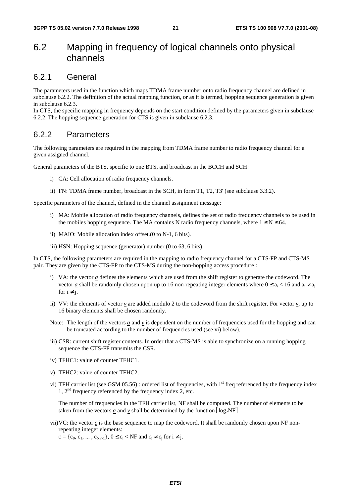### 6.2 Mapping in frequency of logical channels onto physical channels

#### 6.2.1 General

The parameters used in the function which maps TDMA frame number onto radio frequency channel are defined in subclause 6.2.2. The definition of the actual mapping function, or as it is termed, hopping sequence generation is given in subclause 6.2.3.

In CTS, the specific mapping in frequency depends on the start condition defined by the parameters given in subclause 6.2.2. The hopping sequence generation for CTS is given in subclause 6.2.3.

#### 6.2.2 Parameters

The following parameters are required in the mapping from TDMA frame number to radio frequency channel for a given assigned channel.

General parameters of the BTS, specific to one BTS, and broadcast in the BCCH and SCH:

- i) CA: Cell allocation of radio frequency channels.
- ii) FN: TDMA frame number, broadcast in the SCH, in form T1, T2, T3' (see subclause 3.3.2).

Specific parameters of the channel, defined in the channel assignment message:

- i) MA: Mobile allocation of radio frequency channels, defines the set of radio frequency channels to be used in the mobiles hopping sequence. The MA contains N radio frequency channels, where  $1 \le N \le 64$ .
- ii) MAIO: Mobile allocation index offset.(0 to N-1, 6 bits).
- iii) HSN: Hopping sequence (generator) number (0 to 63, 6 bits).

In CTS, the following parameters are required in the mapping to radio frequency channel for a CTS-FP and CTS-MS pair. They are given by the CTS-FP to the CTS-MS during the non-hopping access procedure :

- i) VA: the vector *a* defines the elements which are used from the shift register to generate the codeword. The vector <u>a</u> shall be randomly chosen upon up to 16 non-repeating integer elements where  $0 \le a_i < 16$  and  $a_i \ne a_i$ for  $i \neq j$ .
- ii) VV: the elements of vector  $v$  are added modulo 2 to the codeword from the shift register. For vector  $v$ , up to 16 binary elements shall be chosen randomly.
- Note: The length of the vectors  $a$  and  $v$  is dependent on the number of frequencies used for the hopping and can be truncated according to the number of frequencies used (see vi) below).
- iii) CSR: current shift register contents. In order that a CTS-MS is able to synchronize on a running hopping sequence the CTS-FP transmits the CSR.
- iv) TFHC1: value of counter TFHC1.
- v) TFHC2: value of counter TFHC2.
- vi) TFH carrier list (see GSM  $05.56$ ) : ordered list of frequencies, with 1<sup>st</sup> freq referenced by the frequency index 1, 2nd frequency referenced by the frequency index 2, etc.

The number of frequencies in the TFH carrier list, NF shall be computed. The number of elements to be taken from the vectors <u>*a*</u> and <u>*v*</u> shall be determined by the function  $log_2NF$ 

vii) VC: the vector *c* is the base sequence to map the codeword. It shall be randomly chosen upon NF nonrepeating integer elements:

 $c = \{c_0, c_1, \dots, c_{NF-1}\}, 0 \le c_i < NF$  and  $c_i \ne c_i$  for  $i \ne j$ .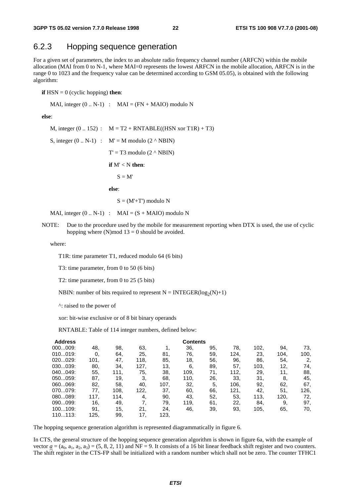#### 6.2.3 Hopping sequence generation

For a given set of parameters, the index to an absolute radio frequency channel number (ARFCN) within the mobile allocation (MAI from 0 to N-1, where MAI=0 represents the lowest ARFCN in the mobile allocation, ARFCN is in the range 0 to 1023 and the frequency value can be determined according to GSM 05.05), is obtained with the following algorithm:

**if**  $HSN = 0$  (cyclic hopping) **then**:

MAI, integer  $(0.. N-1)$  : MAI =  $(FN + MAIO)$  modulo N

**else**:

M, integer  $(0.. 152)$  :  $M = T2 + RNTABLE((HSN xor T1R) + T3)$ S, integer  $(0.. N-1)$  :  $M' = M$  modulo  $(2 \wedge NBIN)$  $T' = T3$  modulo  $(2 \wedge NBIN)$  **if** M' < N **then**:  $S = M'$  **else**:  $S = (M' + T')$  modulo N

MAI, integer  $(0.. N-1)$  : MAI =  $(S + MAIO)$  modulo N

NOTE: Due to the procedure used by the mobile for measurement reporting when DTX is used, the use of cyclic hopping where  $(N)$  mod  $13 = 0$  should be avoided.

where:

T1R: time parameter T1, reduced modulo 64 (6 bits)

T3: time parameter, from 0 to 50 (6 bits)

T2: time parameter, from 0 to 25 (5 bits)

NBIN: number of bits required to represent  $N = INTEGR(log_2(N)+1)$ 

^: raised to the power of

xor: bit-wise exclusive or of 8 bit binary operands

RNTABLE: Table of 114 integer numbers, defined below:

| <b>Address</b> |      |      |      |      | <b>Contents</b> |     |      |      |      |      |
|----------------|------|------|------|------|-----------------|-----|------|------|------|------|
| 000009:        | 48.  | 98.  | 63,  |      | 36.             | 95. | 78.  | 102. | 94.  | 73,  |
| 010019:        | 0,   | 64,  | 25,  | 81.  | 76.             | 59. | 124, | 23.  | 104. | 100, |
| 020029:        | 101, | 47.  | 118, | 85.  | 18,             | 56. | 96.  | 86.  | 54.  | 2,   |
| 030039:        | 80.  | 34.  | 127, | 13,  | 6,              | 89. | 57.  | 103, | 12,  | 74,  |
| 040049:        | 55,  | 111. | 75,  | 38.  | 109,            | 71, | 112. | 29.  | 11,  | 88,  |
| 050059:        | 87.  | 19.  | 3.   | 68.  | 110,            | 26. | 33.  | 31.  | 8.   | 45.  |
| 060069:        | 82.  | 58.  | 40,  | 107, | 32.             | 5.  | 106. | 92,  | 62.  | 67.  |
| 070079:        | 77.  | 108. | 122. | 37.  | 60.             | 66. | 121, | 42,  | 51.  | 126, |
| 080089:        | 117. | 114, | 4,   | 90.  | 43,             | 52, | 53.  | 113, | 120, | 72,  |
| 090099:        | 16,  | 49,  | 7.   | 79,  | 119,            | 61. | 22.  | 84.  | 9.   | 97,  |
| 100109:        | 91.  | 15,  | 21.  | 24.  | 46.             | 39. | 93,  | 105, | 65.  | 70,  |
| 110113:        | 125. | 99,  | 17,  | 123, |                 |     |      |      |      |      |

The hopping sequence generation algorithm is represented diagrammatically in figure 6.

In CTS, the general structure of the hopping sequence generation algorithm is shown in figure 6a, with the example of vector  $\underline{a} = (a_0, a_1, a_2, a_3) = (5, 8, 2, 11)$  and NF = 9. It consists of a 16 bit linear feedback shift register and two counters. The shift register in the CTS-FP shall be initialized with a random number which shall not be zero. The counter TFHC1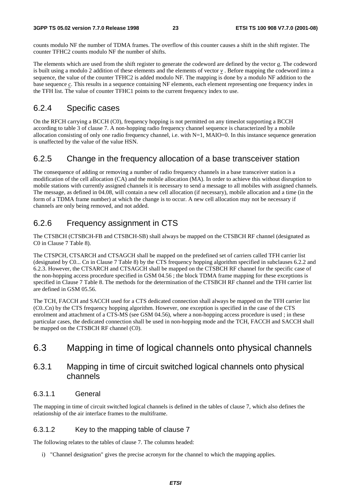counts modulo NF the number of TDMA frames. The overflow of this counter causes a shift in the shift register. The counter TFHC2 counts modulo NF the number of shifts.

The elements which are used from the shift register to generate the codeword are defined by the vector *a*. The codeword is built using a modulo 2 addition of these elements and the elements of vector *v* . Before mapping the codeword into a sequence, the value of the counter TFHC2 is added modulo NF. The mapping is done by a modulo NF addition to the base sequence *c*. This results in a sequence containing NF elements, each element representing one frequency index in the TFH list. The value of counter TFHC1 points to the current frequency index to use.

#### 6.2.4 Specific cases

On the RFCH carrying a BCCH (C0), frequency hopping is not permitted on any timeslot supporting a BCCH according to table 3 of clause 7. A non-hopping radio frequency channel sequence is characterized by a mobile allocation consisting of only one radio frequency channel, i.e. with N=1, MAIO=0. In this instance sequence generation is unaffected by the value of the value HSN.

#### 6.2.5 Change in the frequency allocation of a base transceiver station

The consequence of adding or removing a number of radio frequency channels in a base transceiver station is a modification of the cell allocation (CA) and the mobile allocation (MA). In order to achieve this without disruption to mobile stations with currently assigned channels it is necessary to send a message to all mobiles with assigned channels. The message, as defined in 04.08, will contain a new cell allocation (if necessary), mobile allocation and a time (in the form of a TDMA frame number) at which the change is to occur. A new cell allocation may not be necessary if channels are only being removed, and not added.

### 6.2.6 Frequency assignment in CTS

The CTSBCH (CTSBCH-FB and CTSBCH-SB) shall always be mapped on the CTSBCH RF channel (designated as C0 in Clause 7 Table 8).

The CTSPCH, CTSARCH and CTSAGCH shall be mapped on the predefined set of carriers called TFH carrier list (designated by C0... Cn in Clause 7 Table 8) by the CTS frequency hopping algorithm specified in subclauses 6.2.2 and 6.2.3. However, the CTSARCH and CTSAGCH shall be mapped on the CTSBCH RF channel for the specific case of the non-hopping access procedure specified in GSM 04.56 ; the block TDMA frame mapping for these exceptions is specified in Clause 7 Table 8. The methods for the determination of the CTSBCH RF channel and the TFH carrier list are defined in GSM 05.56.

The TCH, FACCH and SACCH used for a CTS dedicated connection shall always be mapped on the TFH carrier list (C0..Cn) by the CTS frequency hopping algorithm. However, one exception is specified in the case of the CTS enrolment and attachment of a CTS-MS (see GSM 04.56), where a non-hopping access procedure is used ; in these particular cases, the dedicated connection shall be used in non-hopping mode and the TCH, FACCH and SACCH shall be mapped on the CTSBCH RF channel (C0).

### 6.3 Mapping in time of logical channels onto physical channels

#### 6.3.1 Mapping in time of circuit switched logical channels onto physical channels

#### 6.3.1.1 General

The mapping in time of circuit switched logical channels is defined in the tables of clause 7, which also defines the relationship of the air interface frames to the multiframe.

#### 6.3.1.2 Key to the mapping table of clause 7

The following relates to the tables of clause 7. The columns headed:

i) "Channel designation" gives the precise acronym for the channel to which the mapping applies.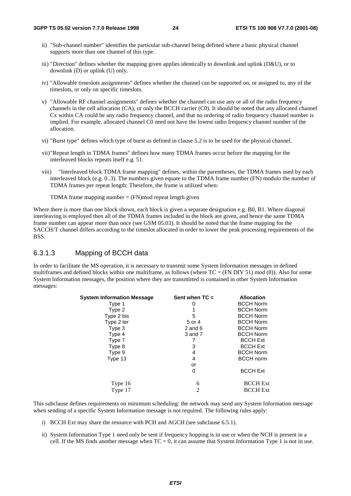- ii) "Sub-channel number" identifies the particular sub-channel being defined where a basic physical channel supports more than one channel of this type.
- iii) "Direction" defines whether the mapping given applies identically to downlink and uplink (D&U), or to downlink (D) or uplink (U) only.
- iv) "Allowable timeslots assignments" defines whether the channel can be supported on, or assigned to, any of the timeslots, or only on specific timeslots.
- v) "Allowable RF channel assignments" defines whether the channel can use any or all of the radio frequency channels in the cell allocation (CA), or only the BCCH carrier (C0). It should be noted that any allocated channel Cx within CA could be any radio frequency channel, and that no ordering of radio frequency channel number is implied. For example, allocated channel C0 need not have the lowest radio frequency channel number of the allocation.
- vi) "Burst type" defines which type of burst as defined in clause 5.2 is to be used for the physical channel.
- vii) "Repeat length in TDMA frames" defines how many TDMA frames occur before the mapping for the interleaved blocks repeats itself e.g. 51.
- viii) "Interleaved block TDMA frame mapping" defines, within the parentheses, the TDMA frames used by each interleaved block (e.g. 0..3). The numbers given equate to the TDMA frame number (FN) modulo the number of TDMA frames per repeat length; Therefore, the frame is utilized when:

TDMA frame mapping number  $=$  (FN) mod repeat length given

Where there is more than one block shown, each block is given a separate designation e.g. B0, B1. Where diagonal interleaving is employed then all of the TDMA frames included in the block are given, and hence the same TDMA frame number can appear more than once (see GSM 05.03). It should be noted that the frame mapping for the SACCH/T channel differs according to the timeslot allocated in order to lower the peak processing requirements of the BSS.

#### 6.3.1.3 Mapping of BCCH data

In order to facilitate the MS operation, it is necessary to transmit some System Information messages in defined multiframes and defined blocks within one multiframe, as follows (where  $TC = (FN DIV 51) \text{ mod } (8)$ ). Also for some System Information messages, the position where they are transmitted is contained in other System Information messages:

| <b>System Information Message</b> | Sent when $TC =$ | <b>Allocation</b> |
|-----------------------------------|------------------|-------------------|
| Type 1                            | 0                | <b>BCCH Norm</b>  |
| Type 2                            |                  | <b>BCCH Norm</b>  |
| Type 2 bis                        | 5                | <b>BCCH Norm</b>  |
| Type 2 ter                        | 5 or 4           | <b>BCCH Norm</b>  |
| Type 3                            | $2$ and $6$      | <b>BCCH Norm</b>  |
| Type 4                            | 3 and 7          | <b>BCCH Norm</b>  |
| Type 7                            |                  | <b>BCCH Ext</b>   |
| Type 8                            | 3                | <b>BCCH Ext</b>   |
| Type 9                            | 4                | <b>BCCH Norm</b>  |
| Type 13                           | 4                | <b>BCCH</b> norm  |
|                                   | or               |                   |
|                                   | 0                | <b>BCCH Ext</b>   |
| Type 16                           | 6                | <b>BCCH Ext</b>   |
| Type 17                           | 2                | <b>BCCH Ext</b>   |

This subclause defines requirements on minimum scheduling: the network may send any System Information message when sending of a specific System Information message is not required. The following rules apply:

- i) BCCH Ext may share the resource with PCH and AGCH (see subclause 6.5.1).
- ii) System Information Type 1 need only be sent if frequency hopping is in use or when the NCH is present in a cell. If the MS finds another message when  $TC = 0$ , it can assume that System Information Type 1 is not in use.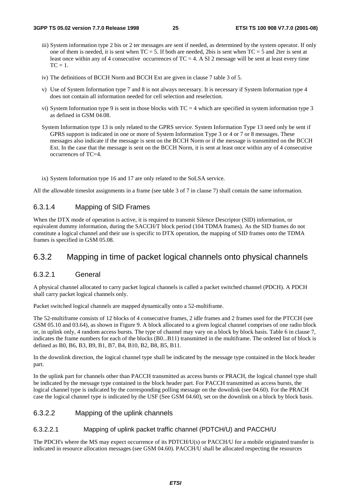- iii) System information type 2 bis or 2 ter messages are sent if needed, as determined by the system operator. If only one of them is needed, it is sent when  $TC = 5$ . If both are needed, 2bis is sent when  $TC = 5$  and 2ter is sent at least once within any of 4 consecutive occurrences of  $TC = 4$ . A SI 2 message will be sent at least every time  $TC = 1$ .
- iv) The definitions of BCCH Norm and BCCH Ext are given in clause 7 table 3 of 5.
- v) Use of System Information type 7 and 8 is not always necessary. It is necessary if System Information type 4 does not contain all information needed for cell selection and reselection.
- vi) System Information type 9 is sent in those blocks with  $TC = 4$  which are specified in system information type 3 as defined in GSM 04.08.
- System Information type 13 is only related to the GPRS service. System Information Type 13 need only be sent if GPRS support is indicated in one or more of System Information Type 3 or 4 or 7 or 8 messages. These messages also indicate if the message is sent on the BCCH Norm or if the message is transmitted on the BCCH Ext. In the case that the message is sent on the BCCH Norm, it is sent at least once within any of 4 consecutive occurrences of TC=4.
- ix) System Information type 16 and 17 are only related to the SoLSA service.

All the allowable timeslot assignments in a frame (see table 3 of 7 in clause 7) shall contain the same information.

#### 6.3.1.4 Mapping of SID Frames

When the DTX mode of operation is active, it is required to transmit Silence Descriptor (SID) information, or equivalent dummy information, during the SACCH/T block period (104 TDMA frames). As the SID frames do not constitute a logical channel and their use is specific to DTX operation, the mapping of SID frames onto the TDMA frames is specified in GSM 05.08.

#### 6.3.2 Mapping in time of packet logical channels onto physical channels

#### 6.3.2.1 General

A physical channel allocated to carry packet logical channels is called a packet switched channel (PDCH). A PDCH shall carry packet logical channels only.

Packet switched logical channels are mapped dynamically onto a 52-multiframe.

The 52-multiframe consists of 12 blocks of 4 consecutive frames, 2 idle frames and 2 frames used for the PTCCH (see GSM 05.10 and 03.64), as shown in Figure 9. A block allocated to a given logical channel comprises of one radio block or, in uplink only, 4 random access bursts. The type of channel may vary on a block by block basis. Table 6 in clause 7, indicates the frame numbers for each of the blocks (B0...B11) transmitted in the multiframe. The ordered list of block is defined as B0, B6, B3, B9, B1, B7, B4, B10, B2, B8, B5, B11.

In the downlink direction, the logical channel type shall be indicated by the message type contained in the block header part.

In the uplink part for channels other than PACCH transmitted as access bursts or PRACH, the logical channel type shall be indicated by the message type contained in the block header part. For PACCH transmitted as access bursts, the logical channel type is indicated by the corresponding polling message on the downlink (see 04.60). For the PRACH case the logical channel type is indicated by the USF (See GSM 04.60), set on the downlink on a block by block basis.

#### 6.3.2.2 Mapping of the uplink channels

#### 6.3.2.2.1 Mapping of uplink packet traffic channel (PDTCH/U) and PACCH/U

The PDCH's where the MS may expect occurrence of its PDTCH/U(s) or PACCH/U for a mobile originated transfer is indicated in resource allocation messages (see GSM 04.60). PACCH/U shall be allocated respecting the resources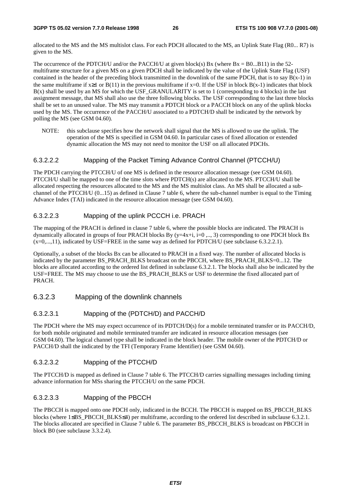allocated to the MS and the MS multislot class. For each PDCH allocated to the MS, an Uplink State Flag (R0... R7) is given to the MS.

The occurrence of the PDTCH/U and/or the PACCH/U at given block(s) Bx (where  $Bx = B0...B11$ ) in the 52multiframe structure for a given MS on a given PDCH shall be indicated by the value of the Uplink State Flag (USF) contained in the header of the preceding block transmitted in the downlink of the same PDCH, that is to say  $B(x-1)$  in the same multiframe if  $x\geq 1$  or  $B(11)$  in the previous multiframe if  $x=0$ . If the USF in block  $B(x-1)$  indicates that block B(x) shall be used by an MS for which the USF\_GRANULARITY is set to 1 (corresponding to 4 blocks) in the last assignment message, that MS shall also use the three following blocks. The USF corresponding to the last three blocks shall be set to an unused value. The MS may transmit a PDTCH block or a PACCH block on any of the uplink blocks used by the MS. The occurrence of the PACCH/U associated to a PDTCH/D shall be indicated by the network by polling the MS (see GSM 04.60).

NOTE: this subclause specifies how the network shall signal that the MS is allowed to use the uplink. The operation of the MS is specified in GSM 04.60. In particular cases of fixed allocation or extended dynamic allocation the MS may not need to monitor the USF on all allocated PDCHs.

#### 6.3.2.2.2 Mapping of the Packet Timing Advance Control Channel (PTCCH/U)

The PDCH carrying the PTCCH/U of one MS is defined in the resource allocation message (see GSM 04.60). PTCCH/U shall be mapped to one of the time slots where PDTCH(s) are allocated to the MS. PTCCH/U shall be allocated respecting the resources allocated to the MS and the MS multislot class. An MS shall be allocated a subchannel of the PTCCH/U (0...15) as defined in Clause 7 table 6, where the sub-channel number is equal to the Timing Advance Index (TAI) indicated in the resource allocation message (see GSM 04.60).

#### 6.3.2.2.3 Mapping of the uplink PCCCH i.e. PRACH

The mapping of the PRACH is defined in clause 7 table 6, where the possible blocks are indicated. The PRACH is dynamically allocated in groups of four PRACH blocks By  $(y=4x+i, i=0, ..., 3)$  corresponding to one PDCH block Bx (x=0,...,11), indicated by USF=FREE in the same way as defined for PDTCH/U (see subclause 6.3.2.2.1).

Optionally, a subset of the blocks Bx can be allocated to PRACH in a fixed way. The number of allocated blocks is indicated by the parameter BS\_PRACH\_BLKS broadcast on the PBCCH, where BS\_PRACH\_BLKS=0...12. The blocks are allocated according to the ordered list defined in subclause 6.3.2.1. The blocks shall also be indicated by the USF=FREE. The MS may choose to use the BS\_PRACH\_BLKS or USF to determine the fixed allocated part of PRACH.

#### 6.3.2.3 Mapping of the downlink channels

#### 6.3.2.3.1 Mapping of the (PDTCH/D) and PACCH/D

The PDCH where the MS may expect occurrence of its PDTCH/D(s) for a mobile terminated transfer or its PACCH/D, for both mobile originated and mobile terminated transfer are indicated in resource allocation messages (see GSM 04.60). The logical channel type shall be indicated in the block header. The mobile owner of the PDTCH/D or PACCH/D shall the indicated by the TFI (Temporary Frame Identifier) (see GSM 04.60).

#### 6.3.2.3.2 Mapping of the PTCCH/D

The PTCCH/D is mapped as defined in Clause 7 table 6. The PTCCH/D carries signalling messages including timing advance information for MSs sharing the PTCCH/U on the same PDCH.

#### 6.3.2.3.3 Mapping of the PBCCH

The PBCCH is mapped onto one PDCH only, indicated in the BCCH. The PBCCH is mapped on BS\_PBCCH\_BLKS blocks (where 1≤BS\_PBCCH\_BLKS≤4) per multiframe, according to the ordered list described in subclause 6.3.2.1. The blocks allocated are specified in Clause 7 table 6. The parameter BS\_PBCCH\_BLKS is broadcast on PBCCH in block B0 (see subclause 3.3.2.4).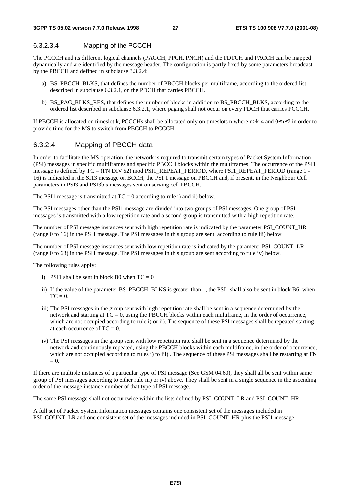#### 6.3.2.3.4 Mapping of the PCCCH

The PCCCH and its different logical channels (PAGCH, PPCH, PNCH) and the PDTCH and PACCH can be mapped dynamically and are identified by the message header. The configuration is partly fixed by some parameters broadcast by the PBCCH and defined in subclause 3.3.2.4:

- a) BS\_PBCCH\_BLKS, that defines the number of PBCCH blocks per multiframe, according to the ordered list described in subclause 6.3.2.1, on the PDCH that carries PBCCH.
- b) BS\_PAG\_BLKS\_RES, that defines the number of blocks in addition to BS\_PBCCH\_BLKS, according to the ordered list described in subclause 6.3.2.1, where paging shall not occur on every PDCH that carries PCCCH.

If PBCCH is allocated on timeslot k, PCCCHs shall be allocated only on timeslots n where n>k-4 and 0≤n≤7 in order to provide time for the MS to switch from PBCCH to PCCCH.

#### 6.3.2.4 Mapping of PBCCH data

In order to facilitate the MS operation, the network is required to transmit certain types of Packet System Information (PSI) messages in specific multiframes and specific PBCCH blocks within the multiframes. The occurrence of the PSI1 message is defined by TC = (FN DIV 52) mod PSI1\_REPEAT\_PERIOD, where PSI1\_REPEAT\_PERIOD (range 1 -16) is indicated in the SI13 message on BCCH, the PSI 1 message on PBCCH and, if present, in the Neighbour Cell parameters in PSI3 and PSI3bis messages sent on serving cell PBCCH.

The PSI1 message is transmitted at  $TC = 0$  according to rule i) and ii) below.

The PSI messages other than the PSI1 message are divided into two groups of PSI messages. One group of PSI messages is transmitted with a low repetition rate and a second group is transmitted with a high repetition rate.

The number of PSI message instances sent with high repetition rate is indicated by the parameter PSI\_COUNT\_HR (range 0 to 16) in the PSI1 message. The PSI messages in this group are sent according to rule iii) below.

The number of PSI message instances sent with low repetition rate is indicated by the parameter PSI\_COUNT\_LR (range 0 to 63) in the PSI1 message. The PSI messages in this group are sent according to rule iv) below.

The following rules apply:

- i) PSI1 shall be sent in block B0 when  $TC = 0$
- ii) If the value of the parameter BS\_PBCCH\_BLKS is greater than 1, the PSI1 shall also be sent in block B6 when  $TC = 0$ .
- iii) The PSI messages in the group sent with high repetition rate shall be sent in a sequence determined by the network and starting at  $TC = 0$ , using the PBCCH blocks within each multiframe, in the order of occurrence, which are not occupied according to rule i) or ii). The sequence of these PSI messages shall be repeated starting at each occurrence of  $TC = 0$ .
- iv) The PSI messages in the group sent with low repetition rate shall be sent in a sequence determined by the network and continuously repeated, using the PBCCH blocks within each multiframe, in the order of occurrence, which are not occupied according to rules i) to iii). The sequence of these PSI messages shall be restarting at FN  $= 0.$

If there are multiple instances of a particular type of PSI message (See GSM 04.60), they shall all be sent within same group of PSI messages according to either rule iii) or iv) above. They shall be sent in a single sequence in the ascending order of the message instance number of that type of PSI message.

The same PSI message shall not occur twice within the lists defined by PSI\_COUNT\_LR and PSI\_COUNT\_HR

A full set of Packet System Information messages contains one consistent set of the messages included in PSI\_COUNT\_LR and one consistent set of the messages included in PSI\_COUNT\_HR plus the PSI1 message.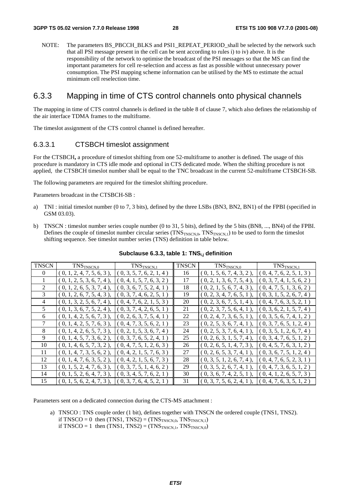NOTE: The parameters BS\_PBCCH\_BLKS and PSI1\_REPEAT\_PERIOD\_shall be selected by the network such that all PSI message present in the cell can be sent according to rules i) to iv) above. It is the responsibility of the network to optimise the broadcast of the PSI messages so that the MS can find the important parameters for cell re-selection and access as fast as possible without unnecessary power consumption. The PSI mapping scheme information can be utilised by the MS to estimate the actual minimum cell reselection time.

#### 6.3.3 Mapping in time of CTS control channels onto physical channels

The mapping in time of CTS control channels is defined in the table 8 of clause 7, which also defines the relationship of the air interface TDMA frames to the multiframe.

The timeslot assignment of the CTS control channel is defined hereafter.

#### 6.3.3.1 CTSBCH timeslot assignment

For the CTSBCH**,** a procedure of timeslot shifting from one 52-multiframe to another is defined. The usage of this procedure is mandatory in CTS idle mode and optional in CTS dedicated mode. When the shifting procedure is not applied, the CTSBCH timeslot number shall be equal to the TNC broadcast in the current 52-multiframe CTSBCH-SB.

The following parameters are required for the timeslot shifting procedure.

Parameters broadcast in the CTSBCH-SB :

- a) TNI : initial timeslot number (0 to 7, 3 bits), defined by the three LSBs (BN3, BN2, BN1) of the FPBI (specified in GSM 03.03).
- b) TNSCN : timeslot number series couple number (0 to 31, 5 bits), defined by the 5 bits (BN8, ..., BN4) of the FPBI. Defines the couple of timeslot number circular series  $(TNS_{TNSCN,0}, TNS_{TNSCN,1})$  to be used to form the timeslot shifting sequence. See timeslot number series (TNS) definition in table below.

| <b>TNSCN</b> | TNS <sub>TNSCN,0</sub>       | TNS <sub>TNS</sub> <sub>CN,1</sub>    | <b>TNSCN</b> | TNS <sub>TNSCN,0</sub>       | TNS <sub>TNSCN,1</sub>   |
|--------------|------------------------------|---------------------------------------|--------------|------------------------------|--------------------------|
| $\Omega$     | (0, 1, 2, 4, 7, 5, 6, 3),    | (0, 3, 5, 7, 6, 2, 1, 4)              | 16           | $(0, 1, 5, 6, 7, 4, 3, 2)$ , | (0, 4, 7, 6, 2, 5, 1, 3) |
|              | $(0, 1, 2, 5, 3, 6, 7, 4)$ , | (0, 4, 1, 5, 7, 6, 3, 2)              | 17           | (0, 2, 1, 3, 6, 7, 5, 4)     | (0, 3, 7, 4, 1, 5, 6, 2) |
| 2            | $(0, 1, 2, 6, 5, 3, 7, 4)$ , | (0, 3, 6, 7, 5, 2, 4, 1)              | 18           | $(0, 2, 1, 5, 6, 7, 4, 3)$ , | (0, 4, 7, 5, 1, 3, 6, 2) |
| 3            | $(0, 1, 2, 6, 7, 5, 4, 3)$ , | $\left[0, 3, 7, 4, 6, 2, 5, 1\right)$ | 19           | $(0, 2, 3, 4, 7, 6, 5, 1)$ , | (0, 3, 1, 5, 2, 6, 7, 4) |
| 4            | $(0, 1, 3, 2, 5, 6, 7, 4)$ , | $\{0, 4, 7, 6, 2, 1, 5, 3\}$          | 20           | (0, 2, 3, 6, 7, 5, 1, 4)     | (0, 4, 7, 6, 3, 5, 2, 1) |
| 5            | $(0, 1, 3, 6, 7, 5, 2, 4)$ , | (0, 3, 7, 4, 2, 6, 5, 1)              | 21           | $(0, 2, 3, 7, 5, 6, 4, 1)$ , | (0, 3, 6, 2, 1, 5, 7, 4) |
| 6            | $(0, 1, 4, 2, 5, 6, 7, 3)$ , | (0, 2, 6, 3, 7, 5, 4, 1)              | 22           | $(0, 2, 4, 7, 3, 6, 5, 1)$ , | (0, 3, 5, 6, 7, 4, 1, 2) |
| 7            | $(0, 1, 4, 2, 5, 7, 6, 3)$ , | [0, 4, 7, 3, 5, 6, 2, 1]              | 23           | (0, 2, 5, 3, 6, 7, 4, 1)     | (0, 3, 7, 6, 5, 1, 2, 4) |
| 8            | $(0, 1, 4, 2, 6, 5, 7, 3)$ , | (0, 2, 1, 5, 3, 6, 7, 4)              | 24           | (0, 2, 5, 3, 7, 6, 4, 1)     | (0, 3, 5, 1, 2, 6, 7, 4) |
| 9            | $(0, 1, 4, 5, 7, 3, 6, 2)$ , | (0, 3, 7, 6, 5, 2, 4, 1)              | 25           | $(0, 2, 6, 3, 1, 5, 7, 4)$ , | (0, 3, 4, 7, 6, 5, 1, 2) |
| 10           | $(0, 1, 4, 6, 5, 7, 3, 2)$ , | [0, 4, 7, 5, 1, 2, 6, 3]              | 26           | (0, 2, 6, 5, 1, 4, 7, 3)     | (0, 4, 5, 7, 6, 3, 1, 2) |
| 11           | $(0, 1, 4, 7, 3, 5, 6, 2)$ , | (0, 4, 2, 1, 5, 7, 6, 3)              | 27           | (0, 2, 6, 5, 3, 7, 4, 1)     | (0, 3, 6, 7, 5, 1, 2, 4) |
| 12           | $(0, 1, 4, 7, 6, 3, 5, 2)$ , | [0, 4, 2, 1, 5, 6, 7, 3]              | 28           | (0, 3, 5, 1, 2, 6, 7, 4)     | (0, 4, 7, 6, 5, 2, 3, 1) |
| 13           | $(0, 1, 5, 2, 4, 7, 6, 3)$ , | [0, 3, 7, 5, 1, 4, 6, 2)              | 29           | $(0, 3, 5, 2, 6, 7, 4, 1)$ , | (0, 4, 7, 3, 6, 5, 1, 2) |
| 14           | $(0, 1, 5, 2, 6, 4, 7, 3)$ , | [0, 3, 4, 5, 7, 6, 2, 1]              | 30           | $(0, 3, 6, 7, 4, 2, 5, 1)$ , | (0, 4, 1, 2, 6, 5, 7, 3) |
| 15           | (0, 1, 5, 6, 2, 4, 7, 3),    | (0, 3, 7, 6, 4, 5, 2, 1)              | 31           | (0, 3, 7, 5, 6, 2, 4, 1)     | (0, 4, 7, 6, 3, 5, 1, 2) |

#### Subclause 6.3.3, table 1: TNS<sub>i,j</sub> definition

Parameters sent on a dedicated connection during the CTS-MS attachment :

a) TNSCO : TNS couple order (1 bit), defines together with TNSCN the ordered couple (TNS1, TNS2). if TNSCO = 0 then  $(TNS1, TNS2) = (TNS_{TNSCN,0}, TNS_{TNSCN,1})$ if TNSCO = 1 then  $(TNS1, TNS2) = (TNS_{TNSCN1}, TNS_{TNSCN0})$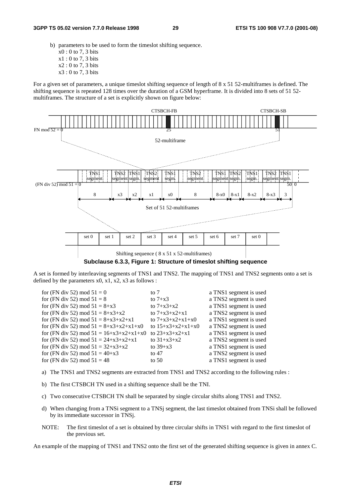- b) parameters to be used to form the timeslot shifting sequence.
	- x0 : 0 to 7, 3 bits
	- x1 : 0 to 7, 3 bits
	- x2 : 0 to 7, 3 bits
	- x3 : 0 to 7, 3 bits

For a given set of parameters, a unique timeslot shifting sequence of length of  $8 \times 51$  52-multiframes is defined. The shifting sequence is repeated 128 times over the duration of a GSM hyperframe. It is divided into 8 sets of 51 52 multiframes. The structure of a set is explicitly shown on figure below:



**Subclause 6.3.3, Figure 1: Structure of timeslot shifting sequence** 

A set is formed by interleaving segments of TNS1 and TNS2. The mapping of TNS1 and TNS2 segments onto a set is defined by the parameters  $x0$ ,  $x1$ ,  $x2$ ,  $x3$  as follows :

| for (FN div 52) mod $51 = 0$              | to $7$              | a TNS1 segment is used |
|-------------------------------------------|---------------------|------------------------|
| for (FN div 52) mod $51 = 8$              | to $7+x3$           | a TNS2 segment is used |
| for (FN div 52) mod $51 = 8+x3$           | to $7 + x3 + x2$    | a TNS1 segment is used |
| for (FN div 52) mod $51 = 8+x3+x2$        | to $7+x3+x2+x1$     | a TNS2 segment is used |
| for (FN div 52) mod $51 = 8+x3+x2+x1$     | to $7+x3+x2+x1+x0$  | a TNS1 segment is used |
| for (FN div 52) mod $51 = 8+x3+x2+x1+x0$  | to $15+x3+x2+x1+x0$ | a TNS2 segment is used |
| for (FN div 52) mod $51 = 16+x3+x2+x1+x0$ | to $23+x3+x2+x1$    | a TNS1 segment is used |
| for (FN div 52) mod $51 = 24+x3+x2+x1$    | to $31+x3+x2$       | a TNS2 segment is used |
| for (FN div 52) mod $51 = 32+x3+x2$       | to $39+x3$          | a TNS1 segment is used |
| for (FN div 52) mod $51 = 40+x3$          | to $47$             | a TNS2 segment is used |
| for (FN div 52) mod $51 = 48$             | to $50$             | a TNS1 segment is used |
|                                           |                     |                        |

- a) The TNS1 and TNS2 segments are extracted from TNS1 and TNS2 according to the following rules :
- b) The first CTSBCH TN used in a shifting sequence shall be the TNI.
- c) Two consecutive CTSBCH TN shall be separated by single circular shifts along TNS1 and TNS2.
- d) When changing from a TNSi segment to a TNSj segment, the last timeslot obtained from TNSi shall be followed by its immediate successor in TNSj.
- NOTE: The first timeslot of a set is obtained by three circular shifts in TNS1 with regard to the first timeslot of the previous set.

An example of the mapping of TNS1 and TNS2 onto the first set of the generated shifting sequence is given in annex C.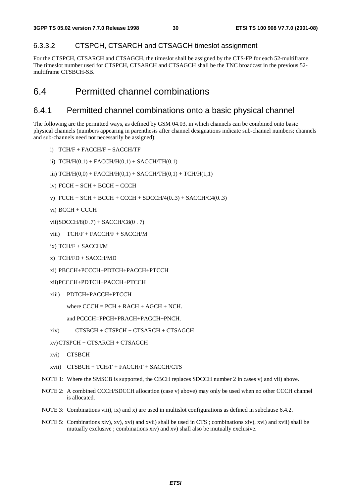#### 6.3.3.2 CTSPCH, CTSARCH and CTSAGCH timeslot assignment

For the CTSPCH, CTSARCH and CTSAGCH, the timeslot shall be assigned by the CTS-FP for each 52-multiframe. The timeslot number used for CTSPCH, CTSARCH and CTSAGCH shall be the TNC broadcast in the previous 52 multiframe CTSBCH-SB.

### 6.4 Permitted channel combinations

#### 6.4.1 Permitted channel combinations onto a basic physical channel

The following are the permitted ways, as defined by GSM 04.03, in which channels can be combined onto basic physical channels (numbers appearing in parenthesis after channel designations indicate sub-channel numbers; channels and sub-channels need not necessarily be assigned):

- i) TCH/F + FACCH/F + SACCH/TF
- ii)  $TCH/H(0,1) + FACCH/H(0,1) + SACCH/TH(0,1)$
- iii)  $TCH/H(0,0) + FACCH/H(0,1) + SACCH/TH(0,1) + TCH/H(1,1)$
- iv) FCCH + SCH + BCCH + CCCH
- v)  $FCCH + SCH + BCCH + CCCH + SDCCH/4(0..3) + SACCH/C4(0..3)$
- vi) BCCH + CCCH
- vii) SDCCH/8(0 .7) + SACCH/C8(0 . 7)
- viii) TCH/F + FACCH/F + SACCH/M
- ix) TCH/F + SACCH/M
- x) TCH/FD + SACCH/MD
- xi) PBCCH+PCCCH+PDTCH+PACCH+PTCCH
- xii) PCCCH+PDTCH+PACCH+PTCCH
- xiii) PDTCH+PACCH+PTCCH
	- where  $C CCH = PCH + RACH + AGCH + NCH$ .

```
and PCCCH=PPCH+PRACH+PAGCH+PNCH.
```
- xiv) CTSBCH + CTSPCH + CTSARCH + CTSAGCH
- xv) CTSPCH + CTSARCH + CTSAGCH
- xvi) CTSBCH
- xvii) CTSBCH + TCH/F + FACCH/F + SACCH/CTS
- NOTE 1: Where the SMSCB is supported, the CBCH replaces SDCCH number 2 in cases v) and vii) above.
- NOTE 2: A combined CCCH/SDCCH allocation (case v) above) may only be used when no other CCCH channel is allocated.
- NOTE 3: Combinations viii), ix) and x) are used in multislot configurations as defined in subclause 6.4.2.
- NOTE 5: Combinations xiv), xv), xvi) and xvii) shall be used in CTS ; combinations xiv), xvi) and xvii) shall be mutually exclusive ; combinations xiv) and xv) shall also be mutually exclusive.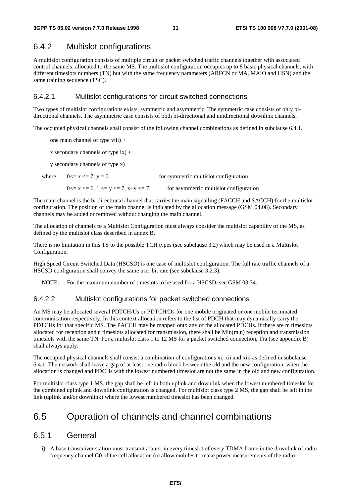#### 6.4.2 Multislot configurations

A multislot configuration consists of multiple circuit or packet switched traffic channels together with associated control channels, allocated to the same MS. The multislot configuration occupies up to 8 basic physical channels, with different timeslots numbers (TN) but with the same frequency parameters (ARFCN or MA, MAIO and HSN) and the same training sequence (TSC).

#### 6.4.2.1 Multislot configurations for circuit switched connections

Two types of multislot configurations exists, symmetric and asymmetric. The symmetric case consists of only bidirectional channels. The asymmetric case consists of both bi-directional and unidirectional downlink channels.

The occupied physical channels shall consist of the following channel combinations as defined in subclause 6.4.1.

one main channel of type viii) +

x secondary channels of type  $ix$ ) +

y secondary channels of type x)

where  $0 \le x \le 7$ ,  $y = 0$  for symmetric multislot configuration  $0 \le x \le 6$ ,  $1 \le y \le 7$ ,  $x+y \le 7$  for asymmetric multislot configuration

The main channel is the bi-directional channel that carries the main signalling (FACCH and SACCH) for the multislot configuration. The position of the main channel is indicated by the allocation message (GSM 04.08). Secondary channels may be added or removed without changing the main channel.

The allocation of channels to a Multislot Configuration must always consider the multislot capability of the MS, as defined by the multislot class described in annex B.

There is no limitation in this TS to the possible TCH types (see subclause 3.2) which may be used in a Multislot Configuration.

High Speed Circuit Switched Data (HSCSD) is one case of multislot configuration. The full rate traffic channels of a HSCSD configuration shall convey the same user bit rate (see subclause 3.2.3).

NOTE: For the maximum number of timeslots to be used for a HSCSD, see GSM 03.34.

#### 6.4.2.2 Multislot configurations for packet switched connections

An MS may be allocated several PDTCH/Us or PDTCH/Ds for one mobile originated or one mobile terminated communication respectively. In this context allocation refers to the list of PDCH that may dynamically carry the PDTCHs for that specific MS. The PACCH may be mapped onto any of the allocated PDCHs. If there are m timeslots allocated for reception and n timeslots allocated for transmission, there shall be  $Min(m,n)$  reception and transmission timeslots with the same TN. For a multislot class 1 to 12 MS for a packet switched connection, Tra (see appendix B) shall always apply.

The occupied physical channels shall consist a combination of configurations xi, xii and xiii as defined in subclause 6.4.1. The network shall leave a gap of at least one radio block between the old and the new configuration, when the allocation is changed and PDCHs with the lowest numbered timeslot are not the same in the old and new configuration.

For multislot class type 1 MS, the gap shall be left in both uplink and downlink when the lowest numbered timeslot for the combined uplink and downlink configuration is changed. For multislot class type 2 MS, the gap shall be left in the link (uplink and/or downlink) where the lowest numbered timeslot has been changed.

### 6.5 Operation of channels and channel combinations

#### 6.5.1 General

i) A base transceiver station must transmit a burst in every timeslot of every TDMA frame in the downlink of radio frequency channel C0 of the cell allocation (to allow mobiles to make power measurements of the radio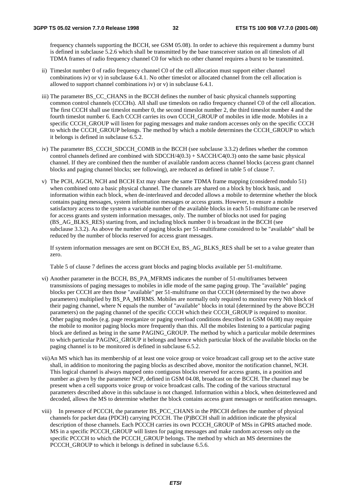frequency channels supporting the BCCH, see GSM 05.08). In order to achieve this requirement a dummy burst is defined in subclause 5.2.6 which shall be transmitted by the base transceiver station on all timeslots of all TDMA frames of radio frequency channel C0 for which no other channel requires a burst to be transmitted.

- ii) Timeslot number 0 of radio frequency channel C0 of the cell allocation must support either channel combinations iv) or v) in subclause 6.4.1. No other timeslot or allocated channel from the cell allocation is allowed to support channel combinations iv) or v) in subclause 6.4.1.
- iii) The parameter BS\_CC\_CHANS in the BCCH defines the number of basic physical channels supporting common control channels (CCCHs). All shall use timeslots on radio frequency channel C0 of the cell allocation. The first CCCH shall use timeslot number 0, the second timeslot number 2, the third timeslot number 4 and the fourth timeslot number 6. Each CCCH carries its own CCCH\_GROUP of mobiles in idle mode. Mobiles in a specific CCCH\_GROUP will listen for paging messages and make random accesses only on the specific CCCH to which the CCCH\_GROUP belongs. The method by which a mobile determines the CCCH\_GROUP to which it belongs is defined in subclause 6.5.2.
- iv) The parameter BS\_CCCH\_SDCCH\_COMB in the BCCH (see subclause 3.3.2) defines whether the common control channels defined are combined with  $SDCCH/4(0.3) + SACCH/C4(0.3)$  onto the same basic physical channel. If they are combined then the number of available random access channel blocks (access grant channel blocks and paging channel blocks; see following), are reduced as defined in table 5 of clause 7.
- v) The PCH, AGCH, NCH and BCCH Ext may share the same TDMA frame mapping (considered modulo 51) when combined onto a basic physical channel. The channels are shared on a block by block basis, and information within each block, when de-interleaved and decoded allows a mobile to determine whether the block contains paging messages, system information messages or access grants. However, to ensure a mobile satisfactory access to the system a variable number of the available blocks in each 51-multiframe can be reserved for access grants and system information messages, only. The number of blocks not used for paging (BS\_AG\_BLKS\_RES) starting from, and including block number 0 is broadcast in the BCCH (see subclause 3.3.2). As above the number of paging blocks per 51-multiframe considered to be "available" shall be reduced by the number of blocks reserved for access grant messages.

If system information messages are sent on BCCH Ext, BS\_AG\_BLKS\_RES shall be set to a value greater than zero.

Table 5 of clause 7 defines the access grant blocks and paging blocks available per 51-multiframe.

- vi) Another parameter in the BCCH, BS\_PA\_MFRMS indicates the number of 51-multiframes between transmissions of paging messages to mobiles in idle mode of the same paging group. The "available" paging blocks per CCCH are then those "available" per 51-multiframe on that CCCH (determined by the two above parameters) multiplied by BS\_PA\_MFRMS. Mobiles are normally only required to monitor every Nth block of their paging channel, where N equals the number of "available" blocks in total (determined by the above BCCH parameters) on the paging channel of the specific CCCH which their CCCH\_GROUP is required to monitor. Other paging modes (e.g. page reorganize or paging overload conditions described in GSM 04.08) may require the mobile to monitor paging blocks more frequently than this. All the mobiles listening to a particular paging block are defined as being in the same PAGING GROUP. The method by which a particular mobile determines to which particular PAGING\_GROUP it belongs and hence which particular block of the available blocks on the paging channel is to be monitored is defined in subclause 6.5.2.
- vii) An MS which has its membership of at least one voice group or voice broadcast call group set to the active state shall, in addition to monitoring the paging blocks as described above, monitor the notification channel, NCH. This logical channel is always mapped onto contiguous blocks reserved for access grants, in a position and number as given by the parameter NCP, defined in GSM 04.08, broadcast on the BCCH. The channel may be present when a cell supports voice group or voice broadcast calls. The coding of the various structural parameters described above in this subclause is not changed. Information within a block, when deinterleaved and decoded, allows the MS to determine whether the block contains access grant messages or notification messages.
- viii) In presence of PCCCH, the parameter BS\_PCC\_CHANS in the PBCCH defines the number of physical channels for packet data (PDCH) carrying PCCCH. The (P)BCCH shall in addition indicate the physical description of those channels. Each PCCCH carries its own PCCCH\_GROUP of MSs in GPRS attached mode. MS in a specific PCCCH GROUP will listen for paging messages and make random accesses only on the specific PCCCH to which the PCCCH\_GROUP belongs. The method by which an MS determines the PCCCH\_GROUP to which it belongs is defined in subclause 6.5.6.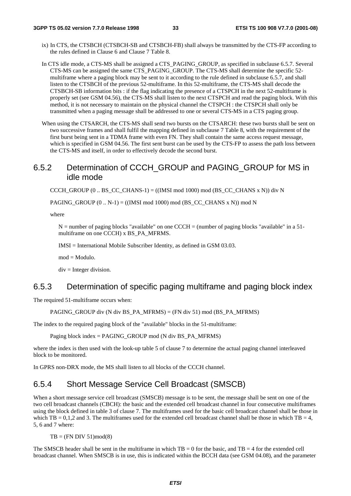- ix) In CTS, the CTSBCH (CTSBCH-SB and CTSBCH-FB) shall always be transmitted by the CTS-FP according to the rules defined in Clause 6 and Clause 7 Table 8.
- In CTS idle mode, a CTS-MS shall be assigned a CTS\_PAGING\_GROUP, as specified in subclause 6.5.7. Several CTS-MS can be assigned the same CTS\_PAGING\_GROUP. The CTS-MS shall determine the specific 52 multiframe where a paging block may be sent to it according to the rule defined in subclause 6.5.7, and shall listen to the CTSBCH of the previous 52-multiframe. In this 52-multiframe, the CTS-MS shall decode the CTSBCH-SB information bits : if the flag indicating the presence of a CTSPCH in the next 52-multiframe is properly set (see GSM 04.56), the CTS-MS shall listen to the next CTSPCH and read the paging block. With this method, it is not necessary to maintain on the physical channel the CTSPCH : the CTSPCH shall only be transmitted when a paging message shall be addressed to one or several CTS-MS in a CTS paging group.
- When using the CTSARCH, the CTS-MS shall send two bursts on the CTSARCH: these two bursts shall be sent on two successive frames and shall fulfil the mapping defined in subclause 7 Table 8, with the requirement of the first burst being sent in a TDMA frame with even FN. They shall contain the same access request message, which is specified in GSM 04.56. The first sent burst can be used by the CTS-FP to assess the path loss between the CTS-MS and itself, in order to effectively decode the second burst.

#### 6.5.2 Determination of CCCH\_GROUP and PAGING\_GROUP for MS in idle mode

CCCH\_GROUP (0 .. BS\_CC\_CHANS-1) =  $((IMSI \text{ mod } 1000) \text{ mod } (BS \text{ CC } CHANS x \text{ N}))$  div N

PAGING\_GROUP  $(0.. N-1) = ((IMSI \mod 1000) \mod (BS\_CC\_CHANS \times N)) \mod N$ 

where

 $N =$  number of paging blocks "available" on one CCCH = (number of paging blocks "available" in a 51multiframe on one CCCH) x BS\_PA\_MFRMS.

IMSI = International Mobile Subscriber Identity, as defined in GSM 03.03.

mod = Modulo.

 $div =$  Integer division.

#### 6.5.3 Determination of specific paging multiframe and paging block index

The required 51-multiframe occurs when:

PAGING\_GROUP div (N div BS\_PA\_MFRMS) = (FN div 51) mod (BS\_PA\_MFRMS)

The index to the required paging block of the "available" blocks in the 51-multiframe:

Paging block index = PAGING\_GROUP mod (N div BS\_PA\_MFRMS)

where the index is then used with the look-up table 5 of clause 7 to determine the actual paging channel interleaved block to be monitored.

In GPRS non-DRX mode, the MS shall listen to all blocks of the CCCH channel.

#### 6.5.4 Short Message Service Cell Broadcast (SMSCB)

When a short message service cell broadcast (SMSCB) message is to be sent, the message shall be sent on one of the two cell broadcast channels (CBCH): the basic and the extended cell broadcast channel in four consecutive multiframes using the block defined in table 3 of clause 7. The multiframes used for the basic cell broadcast channel shall be those in which TB = 0,1,2 and 3. The multiframes used for the extended cell broadcast channel shall be those in which  $TB = 4$ , 5, 6 and 7 where:

 $TB = (FN DIV 51)mod(8)$ 

The SMSCB header shall be sent in the multiframe in which  $TB = 0$  for the basic, and  $TB = 4$  for the extended cell broadcast channel. When SMSCB is in use, this is indicated within the BCCH data (see GSM 04.08), and the parameter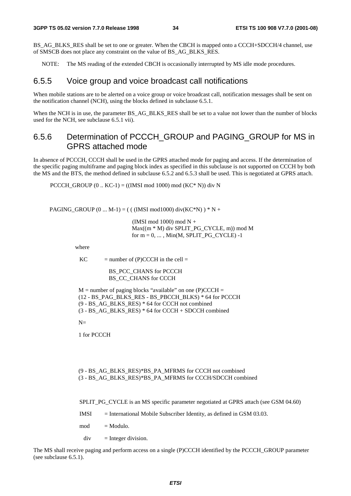BS\_AG\_BLKS\_RES shall be set to one or greater. When the CBCH is mapped onto a CCCH+SDCCH/4 channel, use of SMSCB does not place any constraint on the value of BS\_AG\_BLKS\_RES.

NOTE: The MS reading of the extended CBCH is occasionally interrupted by MS idle mode procedures.

#### 6.5.5 Voice group and voice broadcast call notifications

When mobile stations are to be alerted on a voice group or voice broadcast call, notification messages shall be sent on the notification channel (NCH), using the blocks defined in subclause 6.5.1.

When the NCH is in use, the parameter BS\_AG\_BLKS\_RES shall be set to a value not lower than the number of blocks used for the NCH, see subclause 6.5.1 vii).

#### 6.5.6 Determination of PCCCH\_GROUP and PAGING\_GROUP for MS in GPRS attached mode

In absence of PCCCH, CCCH shall be used in the GPRS attached mode for paging and access. If the determination of the specific paging multiframe and paging block index as specified in this subclause is not supported on CCCH by both the MS and the BTS, the method defined in subclause 6.5.2 and 6.5.3 shall be used. This is negotiated at GPRS attach.

PCCCH\_GROUP  $(0 \dots KC-1) = ((IMSI \mod 1000) \mod (KC^* N))$  div N

PAGING\_GROUP  $(0 ... M-1) = ($  ( (IMSI mod1000) div(KC\*N) ) \* N +

 (IMSI mod 1000) mod N + Max((m \* M) div SPLIT\_PG\_CYCLE, m)) mod M for  $m = 0, \ldots, Min(M, SPIIT_PG_CYCLE) -1$ 

where

 $KC$  = number of (P)CCCH in the cell =

BS\_PCC\_CHANS for PCCCH BS CC\_CHANS for CCCH

 $M =$  number of paging blocks "available" on one (P)CCCH = (12 - BS\_PAG\_BLKS\_RES - BS\_PBCCH\_BLKS) \* 64 for PCCCH (9 - BS\_AG\_BLKS\_RES) \* 64 for CCCH not combined  $(3 - BS AG BLKS RES) * 64$  for CCCH + SDCCH combined

 $N-$ 

1 for PCCCH

#### (9 - BS\_AG\_BLKS\_RES)\*BS\_PA\_MFRMS for CCCH not combined (3 - BS\_AG\_BLKS\_RES)\*BS\_PA\_MFRMS for CCCH/SDCCH combined

SPLIT\_PG\_CYCLE is an MS specific parameter negotiated at GPRS attach (see GSM 04.60)

- IMSI = International Mobile Subscriber Identity, as defined in GSM 03.03.
- $mod = Modulo.$

 $div =$  Integer division.

The MS shall receive paging and perform access on a single (P)CCCH identified by the PCCCH\_GROUP parameter (see subclause 6.5.1).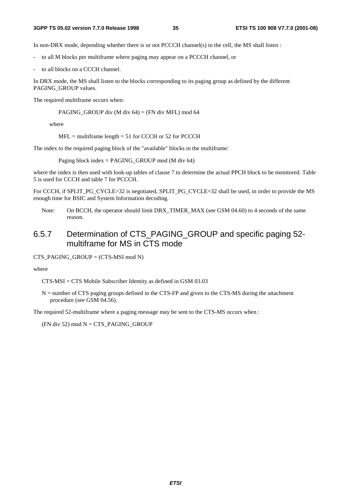In non-DRX mode, depending whether there is or not PCCCH channel(s) in the cell, the MS shall listen :

- to all M blocks per multiframe where paging may appear on a PCCCH channel, or
- to all blocks on a CCCH channel.

In DRX mode, the MS shall listen to the blocks corresponding to its paging group as defined by the different PAGING\_GROUP values.

The required multiframe occurs when:

PAGING\_GROUP div (M div 64) = (FN div MFL) mod 64

where

 $MFL$  = multiframe length = 51 for CCCH or 52 for PCCCH

The index to the required paging block of the "available" blocks in the multiframe:

Paging block index = PAGING\_GROUP mod (M div 64)

where the index is then used with look-up tables of clause 7 to determine the actual PPCH block to be monitored. Table 5 is used for CCCH and table 7 for PCCCH.

For CCCH, if SPLIT\_PG\_CYCLE>32 is negotiated, SPLIT\_PG\_CYCLE=32 shall be used, in order to provide the MS enough time for BSIC and System Information decoding.

Note: On BCCH, the operator should limit DRX\_TIMER\_MAX (see GSM 04.60) to 4 seconds of the same reason.

#### 6.5.7 Determination of CTS\_PAGING\_GROUP and specific paging 52 multiframe for MS in CTS mode

CTS\_PAGING\_GROUP =  $(CTS\text{-}MSI \mod N)$ 

where

CTS-MSI = CTS Mobile Subscriber Identity as defined in GSM 03.03

N = number of CTS paging groups defined in the CTS-FP and given to the CTS-MS during the attachment procedure (see GSM 04.56).

The required 52-multiframe where a paging message may be sent to the CTS-MS occurs when :

(FN div 52) mod  $N = CTS$  PAGING GROUP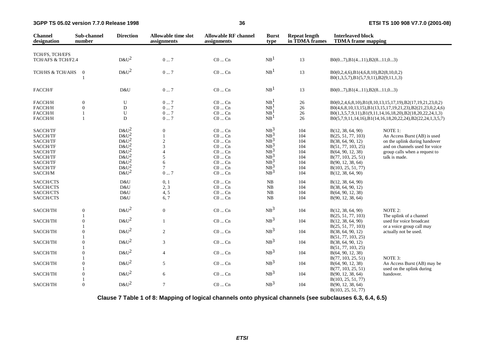| <b>Channel</b><br>designation                                                                           | Sub-channel<br>number                                 | <b>Direction</b>                                                                                 | <b>Allowable time slot</b><br>assignments                                     | <b>Allowable RF channel</b><br>assignments                                                                                                | <b>Burst</b><br>type                                                                                                                         | <b>Repeat length</b><br>in TDMA frames                      | <b>Interleaved block</b><br><b>TDMA</b> frame mapping                                                                                                                                         |                                                                                                                                                                                                                                                    |
|---------------------------------------------------------------------------------------------------------|-------------------------------------------------------|--------------------------------------------------------------------------------------------------|-------------------------------------------------------------------------------|-------------------------------------------------------------------------------------------------------------------------------------------|----------------------------------------------------------------------------------------------------------------------------------------------|-------------------------------------------------------------|-----------------------------------------------------------------------------------------------------------------------------------------------------------------------------------------------|----------------------------------------------------------------------------------------------------------------------------------------------------------------------------------------------------------------------------------------------------|
|                                                                                                         |                                                       |                                                                                                  |                                                                               |                                                                                                                                           |                                                                                                                                              |                                                             |                                                                                                                                                                                               |                                                                                                                                                                                                                                                    |
| TCH/FS, TCH/EFS<br>TCH/AFS & TCH/F2.4                                                                   |                                                       | $D&U^2$                                                                                          | $0\ldots7$                                                                    | $CO \dots Cn$                                                                                                                             | NB <sup>1</sup>                                                                                                                              | 13                                                          | $B0(07), B1(411), B2(811,03)$                                                                                                                                                                 |                                                                                                                                                                                                                                                    |
| TCH/HS & TCH/AHS                                                                                        | $\mathbf{0}$                                          | $D&U^2$                                                                                          | $0\ldots7$                                                                    | $CO \dots Cn$                                                                                                                             | NB <sup>1</sup>                                                                                                                              | 13                                                          | $B0(0,2,4,6), B1(4,6,8,10), B2(8,10,0,2)$<br>B0(1,3,5,7),B1(5,7,9,11),B2(9,11,1,3)                                                                                                            |                                                                                                                                                                                                                                                    |
| FACCH/F                                                                                                 |                                                       | D&U                                                                                              | $0\ldots7$                                                                    | $CO \dots Cn$                                                                                                                             | NB <sup>1</sup>                                                                                                                              | 13                                                          | $B0(07), B1(411), B2(811,03)$                                                                                                                                                                 |                                                                                                                                                                                                                                                    |
| FACCH/H<br>FACCH/H<br>FACCH/H<br>FACCH/H                                                                | $\boldsymbol{0}$<br>$\mathbf{0}$<br>1<br>$\mathbf{1}$ | ${\bf U}$<br>${\rm D}$<br>U<br>D                                                                 | 07<br>07<br>$0 \ldots 7$<br>07                                                | $C0 \dots Cn$<br>$C0$ $Cn$<br>$C0$ $Cn$<br>$C0$ $Cn$                                                                                      | NB <sup>1</sup><br>NB <sup>1</sup><br>NB <sup>1</sup><br>NB <sup>1</sup>                                                                     | 26<br>26<br>26<br>26                                        |                                                                                                                                                                                               | B0(0,2,4,6,8,10),B1(8,10,13,15,17,19),B2(17,19,21,23,0,2)<br>B0(4,6,8,10,13,15),B1(13,15,17,19,21,23),B2(21,23,0,2,4,6)<br>B0(1,3,5,7,9,11),B1(9,11,14,16,18,20),B2(18,20,22,24,1,3)<br>B0(5,7,9,11,14,16),B1(14,16,18,20,22,24),B2(22,24,1,3,5,7) |
| SACCH/TF<br>SACCH/TF<br>SACCH/TF<br>SACCH/TF<br>SACCH/TF<br>SACCH/TF<br>SACCH/TF<br>SACCH/TF<br>SACCH/M |                                                       | $D&U^2$<br>$D&U^2$<br>$D\&U^2$<br>$D&U^2$<br>$D&U^2$<br>$D&U^2$<br>$D&U^2$<br>$D&U^2$<br>$D&U^2$ | $\mathbf{0}$<br>$\sqrt{2}$<br>3<br>$\Delta$<br>5<br>6<br>$\overline{7}$<br>07 | $C0$ $Cn$<br>$C0 \dots Cn$<br>$C0 \dots Cn$<br>$C0 \dots Cn$<br>$C0 \dots Cn$<br>$C0$ $Cn$<br>$C0 \dots Cn$<br>$C0$ $Cn$<br>$CO \dots Cn$ | NB <sup>3</sup><br>$NB^3$<br>NB <sup>3</sup><br>NB <sup>3</sup><br>NB <sup>3</sup><br>$NB^3$<br>NB <sup>3</sup><br>$NB^3$<br>NB <sup>3</sup> | 104<br>104<br>104<br>104<br>104<br>104<br>104<br>104<br>104 | B(12, 38, 64, 90)<br>B(25, 51, 77, 103)<br>B(38, 64, 90, 12)<br>B(51, 77, 103, 25)<br>B(64, 90, 12, 38)<br>B(77, 103, 25, 51)<br>B(90, 12, 38, 64)<br>B(103, 25, 51, 77)<br>B(12, 38, 64, 90) | NOTE 1:<br>An Access Burst (AB) is used<br>on the uplink during handover<br>and on channels used for voice<br>group calls when a request to<br>talk is made.                                                                                       |
| SACCH/CTS<br>SACCH/CTS<br>SACCH/CTS<br>SACCH/CTS                                                        |                                                       | D&U<br>D&U<br>D&U<br>D&U                                                                         | 0, 1<br>2, 3<br>4, 5<br>6,7                                                   | $C0$ $Cn$<br>$CO \dots Cn$<br>$\rm CO$ $\ldots$ $\rm Cn$<br>$CO \dots Cn$                                                                 | NB<br>$_{\rm NB}$<br>$_{\rm NB}$<br>${\rm NB}$                                                                                               | 104<br>104<br>104<br>104                                    | B(12, 38, 64, 90)<br>B(38, 64, 90, 12)<br>B(64, 90, 12, 38)<br>B(90, 12, 38, 64)                                                                                                              |                                                                                                                                                                                                                                                    |
| SACCH/TH                                                                                                | $\boldsymbol{0}$                                      | $D&U^2$                                                                                          | $\overline{0}$                                                                | $CO \dots Cn$                                                                                                                             | NB <sup>3</sup>                                                                                                                              | 104                                                         | B(12, 38, 64, 90)                                                                                                                                                                             | NOTE 2:                                                                                                                                                                                                                                            |
| SACCH/TH                                                                                                | 1<br>$\mathbf{0}$                                     | $D\&U^2$                                                                                         | $\mathbf{1}$                                                                  | $CO \dots Cn$                                                                                                                             | NB <sup>3</sup>                                                                                                                              | 104                                                         | B(25, 51, 77, 103)<br>B(12, 38, 64, 90)                                                                                                                                                       | The uplink of a channel<br>used for voice broadcast                                                                                                                                                                                                |
| SACCH/TH                                                                                                | $\overline{0}$                                        | $D&U^2$                                                                                          | 2                                                                             | $CO \dots Cn$                                                                                                                             | NB <sup>3</sup>                                                                                                                              | 104                                                         | B(25, 51, 77, 103)<br>B(38, 64, 90, 12)                                                                                                                                                       | or a voice group call may<br>actually not be used.                                                                                                                                                                                                 |
| SACCH/TH                                                                                                | $\mathbf{0}$                                          | $D&U^2$                                                                                          | $\overline{3}$                                                                | $CO \dots Cn$                                                                                                                             | NB <sup>3</sup>                                                                                                                              | 104                                                         | B(51, 77, 103, 25)<br>B(38, 64, 90, 12)                                                                                                                                                       |                                                                                                                                                                                                                                                    |
| SACCH/TH                                                                                                | $\mathbf{0}$                                          | $D&U^2$                                                                                          | $\overline{4}$                                                                | $CO \dots Cn$                                                                                                                             | NB <sup>3</sup>                                                                                                                              | 104                                                         | B(51, 77, 103, 25)<br>B(64, 90, 12, 38)                                                                                                                                                       |                                                                                                                                                                                                                                                    |
| SACCH/TH                                                                                                | $\overline{1}$<br>$\mathbf{0}$                        | $D&U^2$                                                                                          | 5                                                                             | $CO \dots Cn$                                                                                                                             | NB <sup>3</sup>                                                                                                                              | 104                                                         | B(77, 103, 25, 51)<br>B(64, 90, 12, 38)                                                                                                                                                       | NOTE 3:<br>An Access Burst (AB) may be                                                                                                                                                                                                             |
| SACCH/TH                                                                                                | $\mathbf{1}$<br>$\theta$                              | $D&U^2$                                                                                          | 6                                                                             | $CO \dots Cn$                                                                                                                             | NB <sup>3</sup>                                                                                                                              | 104                                                         | B(77, 103, 25, 51)<br>B(90, 12, 38, 64)                                                                                                                                                       | used on the uplink during<br>handover.                                                                                                                                                                                                             |
| SACCH/TH                                                                                                | $\mathbf{0}$                                          | $D\&U^2$                                                                                         | $\overline{7}$                                                                | $CO \dots Cn$                                                                                                                             | NB <sup>3</sup>                                                                                                                              | 104                                                         | B(103, 25, 51, 77)<br>B(90, 12, 38, 64)<br>B(103, 25, 51, 77)                                                                                                                                 |                                                                                                                                                                                                                                                    |

**Clause 7 Table 1 of 8: Mapping of logical channels onto physical channels (see subclauses 6.3, 6.4, 6.5)**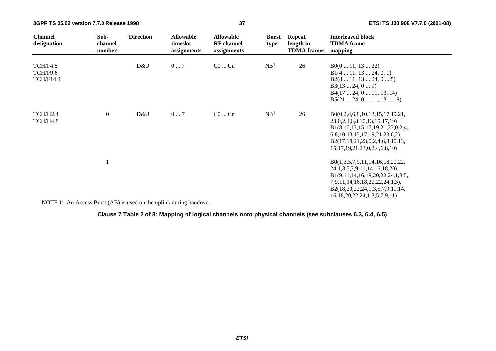| <b>Channel</b><br>designation            | Sub-<br>channel<br>number | <b>Direction</b> | <b>Allowable</b><br>timeslot<br>assignments | <b>Allowable</b><br><b>RF</b> channel<br>assignments | <b>Burst</b><br>type | <b>Repeat</b><br>length in<br><b>TDMA</b> frames | <b>Interleaved block</b><br><b>TDMA</b> frame<br>mapping                                                                                                                                                                     |
|------------------------------------------|---------------------------|------------------|---------------------------------------------|------------------------------------------------------|----------------------|--------------------------------------------------|------------------------------------------------------------------------------------------------------------------------------------------------------------------------------------------------------------------------------|
| TCH/F4.8<br>TCH/F9.6<br><b>TCH/F14.4</b> |                           | D&U              | $0 \dots 7$                                 | $C0$ $Cn$                                            | NB <sup>1</sup>      | 26                                               | B0(011, 1322)<br>B1(4 11, 13 24, 0, 1)<br>B2(8 11, 13 24, 0 5)<br>B3(1324, 09)<br>B4(17 24, 0 11, 13, 14)<br>B5(21 24, 0 11, 13 18)                                                                                          |
| TCH/H2.4<br>TCH/H4.8                     | $\boldsymbol{0}$          | D&U              | 07                                          | $C0$ $Cn$                                            | NB <sup>1</sup>      | 26                                               | B0(0,2,4,6,8,10,13,15,17,19,21,<br>23,0,2,4,6,8,10,13,15,17,19)<br>B1(8,10,13,15,17,19,21,23,0,2,4,<br>6,8,10,13,15,17,19,21,23,0,2),<br>B2(17,19,21,23,0,2,4,6,8,10,13,<br>15, 17, 19, 21, 23, 0, 2, 4, 6, 8, 10            |
|                                          |                           |                  |                                             |                                                      |                      |                                                  | B0(1,3,5,7,9,11,14,16,18,20,22,<br>24, 1, 3, 5, 7, 9, 11, 14, 16, 18, 20),<br>B1(9,11,14,16,18,20,22,24,1,3,5,<br>7,9,11,14,16,18,20,22,24,1,3),<br>B2(18,20,22,24,1,3,5,7,9,11,14,<br>16, 18, 20, 22, 24, 1, 3, 5, 7, 9, 11 |

NOTE 1: An Access Burst (AB) is used on the uplink during handover.

**Clause 7 Table 2 of 8: Mapping of logical channels onto physical channels (see subclauses 6.3, 6.4, 6.5)**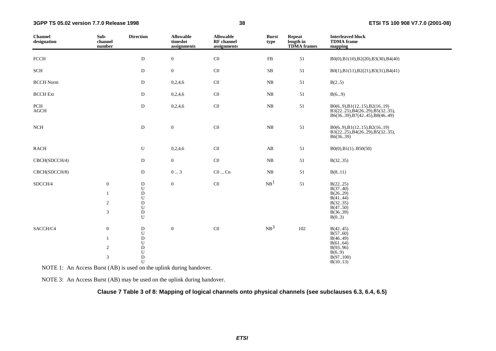| <b>Channel</b><br>designation  | Sub-<br>channel<br>number                                        | <b>Direction</b>                                                                                    | <b>Allowable</b><br>timeslot<br>assignments | <b>Allowable</b><br>RF channel<br>assignments | <b>Burst</b><br>type | <b>Repeat</b><br>length in<br><b>TDMA</b> frames | <b>Interleaved block</b><br><b>TDMA</b> frame<br>mapping                                    |
|--------------------------------|------------------------------------------------------------------|-----------------------------------------------------------------------------------------------------|---------------------------------------------|-----------------------------------------------|----------------------|--------------------------------------------------|---------------------------------------------------------------------------------------------|
| ${\rm F}{\rm C}{\rm C}{\rm H}$ |                                                                  | ${\bf D}$                                                                                           | $\boldsymbol{0}$                            | $\rm CO$                                      | ${\rm FB}$           | 51                                               | B0(0),B1(10),B2(20),B3(30),B4(40)                                                           |
| SCH                            |                                                                  | D                                                                                                   | $\overline{0}$                              | C0                                            | ${\bf SB}$           | 51                                               | B0(1),B1(11),B2(21),B3(31),B4(41)                                                           |
| <b>BCCH Norm</b>               |                                                                  | $\mathbf D$                                                                                         | 0,2,4,6                                     | $\rm CO$                                      | ${\rm NB}$           | 51                                               | B(25)                                                                                       |
| <b>BCCH</b> Ext                |                                                                  | D                                                                                                   | 0,2,4,6                                     | $\rm CO$                                      | ${\rm NB}$           | 51                                               | B(69)                                                                                       |
| $\mbox{PCH}$<br><b>AGCH</b>    |                                                                  | ${\rm D}$                                                                                           | 0,2,4,6                                     | $\rm CO$                                      | ${\rm NB}$           | 51                                               | B0(69), B1(1215), B2(1619)<br>B3(2225), B4(2629), B5(3235),<br>B6(3639), B7(4245), B8(4649) |
| NCH                            |                                                                  | ${\bf D}$                                                                                           | $\boldsymbol{0}$                            | $\rm CO$                                      | ${\rm NB}$           | 51                                               | B0(69), B1(1215), B2(1619)<br>B3(2225), B4(2629), B5(3235),<br>B6(36.39)                    |
| <b>RACH</b>                    |                                                                  | U                                                                                                   | 0,2,4,6                                     | $\rm CO$                                      | AB                   | 51                                               | $B0(0), B1(1)$ $B50(50)$                                                                    |
| CBCH(SDCCH/4)                  |                                                                  | ${\bf D}$                                                                                           | $\overline{0}$                              | $\rm CO$                                      | ${\rm NB}$           | 51                                               | B(3235)                                                                                     |
| CBCH(SDCCH/8)                  |                                                                  | D                                                                                                   | $0 \ldots 3$                                | $\rm CO \ldots \rm Cn$                        | ${\rm NB}$           | 51                                               | B(811)                                                                                      |
| SDCCH/4                        | $\boldsymbol{0}$<br>$\mathbf{1}$<br>$\sqrt{2}$<br>$\mathfrak{Z}$ | $\mathbf D$<br>${\bf U}$<br>${\bf D}$<br>${\bf U}$<br>${\rm D}$<br>${\bf U}$<br>$\overline{D}$<br>U | $\boldsymbol{0}$                            | $\rm CO$                                      | NB <sup>1</sup>      | 51                                               | B(2225)<br>B(3740)<br>B(26.29)<br>B(4144)<br>B(3235)<br>B(4750)<br>B(3639)<br>B(03)         |
| SACCH/C4                       | $\boldsymbol{0}$<br>$\mathbf{1}$<br>$\overline{c}$<br>3          | ${\rm D}$<br>U<br>${\rm D}$<br>${\bf U}$<br>${\rm D}$<br>${\bf U}$<br>$\mathbf D$<br>U              | $\boldsymbol{0}$                            | $\rm CO$                                      | NB <sup>3</sup>      | 102                                              | B(4245)<br>B(5760)<br>B(46.49)<br>B(6164)<br>B(9396)<br>B(6.9)<br>B(97100)<br>B(1013)       |

NOTE 1: An Access Burst (AB) is used on the uplink during handover.

NOTE 3: An Access Burst (AB) may be used on the uplink during handover.

#### **Clause 7 Table 3 of 8: Mapping of logical channels onto physical channels (see subclauses 6.3, 6.4, 6.5)**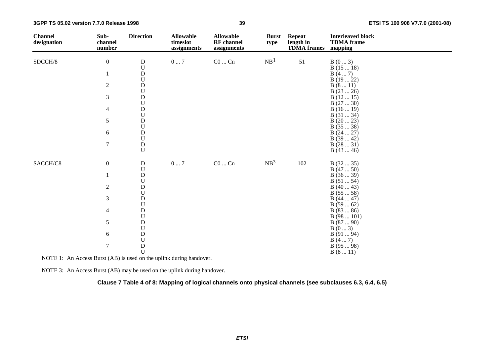| <b>Channel</b><br>designation | Sub-<br>channel<br>number | <b>Direction</b>                                                                                                | <b>Allowable</b><br>timeslot<br>assignments | <b>Allowable</b><br><b>RF</b> channel<br>assignments | <b>Burst</b><br>type | <b>Repeat</b><br>length in<br><b>TDMA</b> frames | <b>Interleaved block</b><br><b>TDMA</b> frame<br>mapping |
|-------------------------------|---------------------------|-----------------------------------------------------------------------------------------------------------------|---------------------------------------------|------------------------------------------------------|----------------------|--------------------------------------------------|----------------------------------------------------------|
| SDCCH/8                       | $\boldsymbol{0}$          |                                                                                                                 | $0\ldots7$                                  | $C0 \dots Cn$                                        | NB <sup>1</sup>      | 51                                               | B(03)                                                    |
|                               |                           | $\rm \frac{D}{U}$                                                                                               |                                             |                                                      |                      |                                                  | B(1518)                                                  |
|                               | $\mathbf{1}$              | $\begin{array}{c} \text{D} \\ \text{U} \\ \text{D} \end{array}$                                                 |                                             |                                                      |                      |                                                  | B(47)                                                    |
|                               |                           |                                                                                                                 |                                             |                                                      |                      |                                                  | B(1922)                                                  |
|                               | $\sqrt{2}$                |                                                                                                                 |                                             |                                                      |                      |                                                  | B(811)                                                   |
|                               |                           | $\mathbf U$                                                                                                     |                                             |                                                      |                      |                                                  | B(2326)                                                  |
|                               | $\mathfrak{Z}$            | $\mathbf D$<br>$\mathbf U$                                                                                      |                                             |                                                      |                      |                                                  | B(1215)                                                  |
|                               | $\overline{4}$            | $\mathbf D$                                                                                                     |                                             |                                                      |                      |                                                  | B(2730)<br>B(1619)                                       |
|                               |                           | $\mathbf U$                                                                                                     |                                             |                                                      |                      |                                                  | B(3134)                                                  |
|                               | 5                         | $\mathbf D$                                                                                                     |                                             |                                                      |                      |                                                  | B(2023)                                                  |
|                               |                           | $\boldsymbol{\mathsf{U}}$                                                                                       |                                             |                                                      |                      |                                                  | B(3538)                                                  |
|                               | $\sqrt{6}$                | $\mathbf D$                                                                                                     |                                             |                                                      |                      |                                                  | B(2427)                                                  |
|                               |                           | $\mathbf U$                                                                                                     |                                             |                                                      |                      |                                                  | B(3942)                                                  |
|                               | $\overline{7}$            | $\mathbf D$                                                                                                     |                                             |                                                      |                      |                                                  | B(2831)                                                  |
|                               |                           | $\mathbf U$                                                                                                     |                                             |                                                      |                      |                                                  | B(4346)                                                  |
| SACCH/C8                      | $\boldsymbol{0}$          | ${\bf D}$                                                                                                       | $0\ldots7$                                  | $\rm CO$ $\ldots$ $\rm Cn$                           | NB <sup>3</sup>      | $102\,$                                          | B(3235)                                                  |
|                               |                           | $\mathbf U$                                                                                                     |                                             |                                                      |                      |                                                  | B(4750)                                                  |
|                               | 1                         |                                                                                                                 |                                             |                                                      |                      |                                                  | B(3639)                                                  |
|                               |                           | $\rm \frac{D}{U}$                                                                                               |                                             |                                                      |                      |                                                  | B(5154)                                                  |
|                               | $\sqrt{2}$                | $\rm \overset{\_}{D}$                                                                                           |                                             |                                                      |                      |                                                  | B(4043)                                                  |
|                               |                           |                                                                                                                 |                                             |                                                      |                      |                                                  | B(5558)                                                  |
|                               | $\mathfrak{Z}$            | $\rm \frac{D}{U}$                                                                                               |                                             |                                                      |                      |                                                  | B(4447)                                                  |
|                               |                           |                                                                                                                 |                                             |                                                      |                      |                                                  | B(5962)                                                  |
|                               | $\overline{4}$            | $\rm \frac{D}{U}$                                                                                               |                                             |                                                      |                      |                                                  | B(8386)<br>B(98101)                                      |
|                               | $\sqrt{5}$                |                                                                                                                 |                                             |                                                      |                      |                                                  | B(8790)                                                  |
|                               |                           | $\begin{array}{c} \mathbf{D} \\ \mathbf{U} \\ \mathbf{D} \\ \mathbf{U} \\ \mathbf{D} \\ \mathbf{U} \end{array}$ |                                             |                                                      |                      |                                                  | B(03)                                                    |
|                               | $\sqrt{6}$                |                                                                                                                 |                                             |                                                      |                      |                                                  | B(9194)                                                  |
|                               |                           |                                                                                                                 |                                             |                                                      |                      |                                                  | B(47)                                                    |
|                               | $\boldsymbol{7}$          |                                                                                                                 |                                             |                                                      |                      |                                                  | B(9598)                                                  |
|                               |                           |                                                                                                                 |                                             |                                                      |                      |                                                  | B(811)                                                   |

NOTE 1: An Access Burst (AB) is used on the uplink during handover.

NOTE 3: An Access Burst (AB) may be used on the uplink during handover.

**Clause 7 Table 4 of 8: Mapping of logical channels onto physical channels (see subclauses 6.3, 6.4, 6.5)**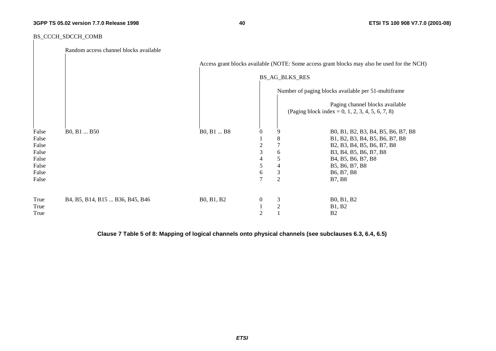**40 ETSI TS 100 908 V7.7.0 (2001-08)**

#### BS\_CCCH\_SDCCH\_COMB

|                | Random access channel blocks available |            |                  |                       |                                                                                             |
|----------------|----------------------------------------|------------|------------------|-----------------------|---------------------------------------------------------------------------------------------|
|                |                                        |            |                  |                       | Access grant blocks available (NOTE: Some access grant blocks may also be used for the NCH) |
|                |                                        |            |                  | <b>BS_AG_BLKS_RES</b> |                                                                                             |
|                |                                        |            |                  |                       | Number of paging blocks available per 51-multiframe                                         |
|                |                                        |            |                  |                       | Paging channel blocks available<br>(Paging block index = 0, 1, 2, 3, 4, 5, 6, 7, 8)         |
| False          | B0, B1  B50                            | B0, B1  B8 | $\mathbf{0}$     | 9                     | B0, B1, B2, B3, B4, B5, B6, B7, B8                                                          |
| False<br>False |                                        |            | 2                | 8                     | B1, B2, B3, B4, B5, B6, B7, B8<br>B2, B3, B4, B5, B6, B7, B8                                |
| False          |                                        |            | 3                | 6                     | B3, B4, B5, B6, B7, B8                                                                      |
| False          |                                        |            | 4                | 5                     | B <sub>4</sub> , B <sub>5</sub> , B <sub>6</sub> , B <sub>7</sub> , B <sub>8</sub>          |
| False          |                                        |            | 5                | 4                     | B5, B6, B7, B8                                                                              |
| False          |                                        |            | 6                | $\mathfrak{Z}$        | B <sub>6</sub> , B <sub>7</sub> , B <sub>8</sub>                                            |
| False          |                                        |            | 7                | $\overline{2}$        | <b>B7, B8</b>                                                                               |
| True           | B4, B5, B14, B15  B36, B45, B46        | B0, B1, B2 | $\boldsymbol{0}$ | 3                     | B0, B1, B2                                                                                  |
| True           |                                        |            |                  | $\mathbf{2}$          | <b>B1</b> , <b>B2</b>                                                                       |
| True           |                                        |            | $\overline{c}$   |                       | B2                                                                                          |

**Clause 7 Table 5 of 8: Mapping of logical channels onto physical channels (see subclauses 6.3, 6.4, 6.5)**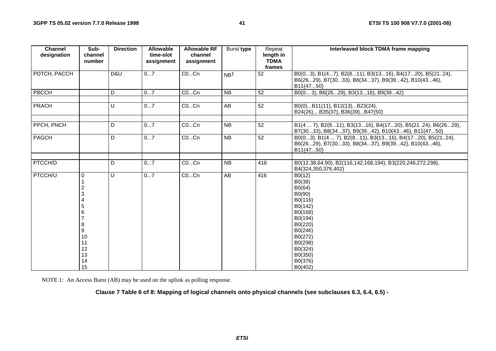| <b>Channel</b><br>designation | Sub-<br>channel                                                                 | <b>Direction</b> | <b>Allowable</b><br>time-slot | <b>Allowable RF</b><br>channel | Burst type      | Repeat<br>length in   | Interleaved block TDMA frame mapping                                                                                                                                     |
|-------------------------------|---------------------------------------------------------------------------------|------------------|-------------------------------|--------------------------------|-----------------|-----------------------|--------------------------------------------------------------------------------------------------------------------------------------------------------------------------|
|                               | number                                                                          |                  | assignment                    | assignment                     |                 | <b>TDMA</b><br>frames |                                                                                                                                                                          |
| PDTCH, PACCH                  |                                                                                 | D&U              | 07                            | COCn                           | NB <sup>1</sup> | 52                    | B0(03), B1(47), B2(811), B3(1316), B4(1720), B5(2124),<br>B6(2629), B7(3033), B8(3437), B9(3942), B10(4346),<br>B11(4750)                                                |
| PBCCH                         |                                                                                 | D                | 07                            | COCn                           | <b>NB</b>       | 52                    | B0(0 3), B6(2629), B3(1316), B9(3942)                                                                                                                                    |
| PRACH                         |                                                                                 | U                | 07                            | COCn                           | AB              | 52                    | B0(0)B11(11), B12(13)B23(24),<br>B24(26) B35(37), B36(39)B47(50)                                                                                                         |
| PPCH, PNCH                    |                                                                                 | D                | 07                            | COCn                           | <b>NB</b>       | 52                    | B1(4  7), B2(811), B3(1316), B4(1720), B5(2124), B6(2629),<br>B7(3033), B8(3437), B9(3942), B10(4346), B11(4750)                                                         |
| PAGCH                         |                                                                                 | D                | 07                            | COCn                           | $\overline{NB}$ | $\overline{52}$       | B0(03), B1(4  7), B2(811), B3(1316), B4(1720), B5(2124),<br>B6(2629), B7(3033), B8(3437), B9(3942), B10(4346),<br>B11(4750)                                              |
|                               |                                                                                 |                  |                               |                                |                 |                       |                                                                                                                                                                          |
| <b>PTCCH/D</b>                |                                                                                 | D                | 07                            | COCn                           | $\overline{NB}$ | 416                   | B0(12,38,64,90), B2(116,142,168,194), B3(220,246,272,298),<br>B4(324,350,376,402)                                                                                        |
| <b>PTCCH/U</b>                | $\Omega$<br>2<br>3<br>4<br>5<br>6<br>8<br>9<br>10<br>11<br>12<br>13<br>14<br>15 | U                | 07                            | COCn                           | $\overline{AB}$ | 416                   | B0(12)<br>B0(38)<br>B0(64)<br>B0(90)<br>B0(116)<br>B0(142)<br>B0(168)<br>B0(194)<br>B0(220)<br>B0(246)<br>B0(272)<br>B0(298)<br>B0(324)<br>B0(350)<br>B0(376)<br>B0(402) |

NOTE 1: An Access Burst (AB) may be used on the uplink as polling response.

**Clause 7 Table 6 of 8: Mapping of logical channels onto physical channels (see subclauses 6.3, 6.4, 6.5) -**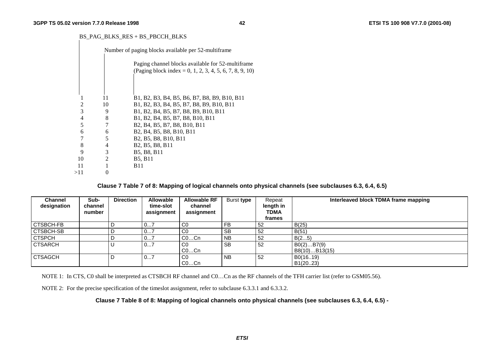#### BS\_PAG\_BLKS\_RES + BS\_PBCCH\_BLKS

|     |    | Number of paging blocks available per 52-multiframe |                                                                                                                        |  |  |  |  |  |  |
|-----|----|-----------------------------------------------------|------------------------------------------------------------------------------------------------------------------------|--|--|--|--|--|--|
|     |    |                                                     | Paging channel blocks available for 52-multiframe<br>(Paging block index = 0, 1, 2, 3, 4, 5, 6, 7, 8, 9, 10)           |  |  |  |  |  |  |
|     |    |                                                     |                                                                                                                        |  |  |  |  |  |  |
|     |    | 11                                                  | B1, B2, B3, B4, B5, B6, B7, B8, B9, B10, B11                                                                           |  |  |  |  |  |  |
|     | 2  | 10                                                  | B1, B2, B3, B4, B5, B7, B8, B9, B10, B11                                                                               |  |  |  |  |  |  |
|     | 3  | 9                                                   | B1, B2, B4, B5, B7, B8, B9, B10, B11                                                                                   |  |  |  |  |  |  |
|     | 4  | 8                                                   | B1, B2, B4, B5, B7, B8, B10, B11                                                                                       |  |  |  |  |  |  |
|     | 5  | 7                                                   | B <sub>2</sub> , B <sub>4</sub> , B <sub>5</sub> , B <sub>7</sub> , B <sub>8</sub> , B <sub>10</sub> , B <sub>11</sub> |  |  |  |  |  |  |
|     | 6  | 6                                                   | B <sub>2</sub> , B <sub>4</sub> , B <sub>5</sub> , B <sub>8</sub> , B <sub>10</sub> , B <sub>11</sub>                  |  |  |  |  |  |  |
|     | 7  | 5                                                   | B <sub>2</sub> , B <sub>5</sub> , B <sub>8</sub> , B <sub>10</sub> , B <sub>11</sub>                                   |  |  |  |  |  |  |
|     | 8  | 4                                                   | B <sub>2</sub> , B <sub>5</sub> , B <sub>8</sub> , B <sub>11</sub>                                                     |  |  |  |  |  |  |
|     | 9  | 3                                                   | B5, B8, B11                                                                                                            |  |  |  |  |  |  |
|     | 10 | 2                                                   | <b>B5, B11</b>                                                                                                         |  |  |  |  |  |  |
|     | 11 |                                                     | <b>B</b> 11                                                                                                            |  |  |  |  |  |  |
| >11 |    | 0                                                   |                                                                                                                        |  |  |  |  |  |  |

**Clause 7 Table 7 of 8: Mapping of logical channels onto physical channels (see subclauses 6.3, 6.4, 6.5)** 

| <b>Channel</b><br>designation | Sub-<br>channel<br>number | <b>Direction</b> | <b>Allowable</b><br>time-slot<br>assignment | <b>Allowable RF</b><br>channel<br>assignment | Burst type | Repeat<br>length in<br>TDMA<br>frames | Interleaved block TDMA frame mapping |
|-------------------------------|---------------------------|------------------|---------------------------------------------|----------------------------------------------|------------|---------------------------------------|--------------------------------------|
| <b>CTSBCH-FB</b>              |                           |                  | <u>v</u>                                    | C <sub>0</sub>                               | FB         | 52                                    | B(25)                                |
| <b>CTSBCH-SB</b>              |                           |                  | 07                                          | C <sub>0</sub>                               | SB         | 52                                    | B(51)                                |
| <b>CTSPCH</b>                 |                           |                  | 07                                          | $CO$ Cn                                      | <b>NB</b>  | 52                                    | B(25)                                |
| <b>CTSARCH</b>                |                           |                  | 07                                          | C0                                           | <b>SB</b>  | 52                                    | B0(2)B7(9)                           |
|                               |                           |                  |                                             | $CO$ Cn                                      |            |                                       | B8(10)B13(15)                        |
| <b>CTSAGCH</b>                |                           |                  | 07                                          | C <sub>0</sub>                               | NB.        | 52                                    | B0(1619)                             |
|                               |                           |                  |                                             | COCn                                         |            |                                       | B1(20.23)                            |

NOTE 1: In CTS, C0 shall be interpreted as CTSBCH RF channel and C0...Cn as the RF channels of the TFH carrier list (refer to GSM05.56).

NOTE 2: For the precise specification of the timeslot assignment, refer to subclause 6.3.3.1 and 6.3.3.2.

**Clause 7 Table 8 of 8: Mapping of logical channels onto physical channels (see subclauses 6.3, 6.4, 6.5) -**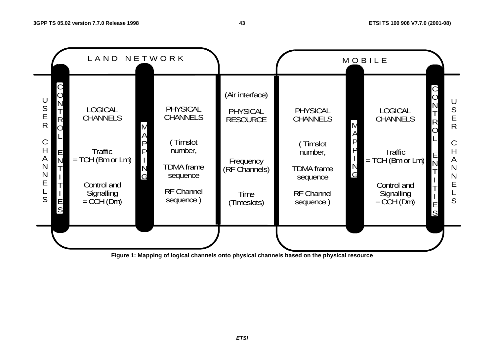

**Figure 1: Mapping of logical channels onto physical channels based on the physical resource**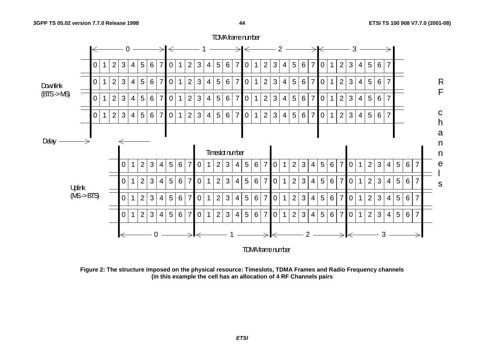

**Figure 2: The structure imposed on the physical resource: Timeslots, TDMA Frames and Radio Frequency channels (in this example the cell has an allocation of 4 RF Channels pairs**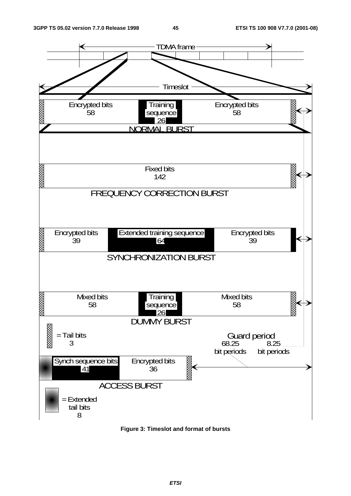

**Figure 3: Timeslot and format of bursts**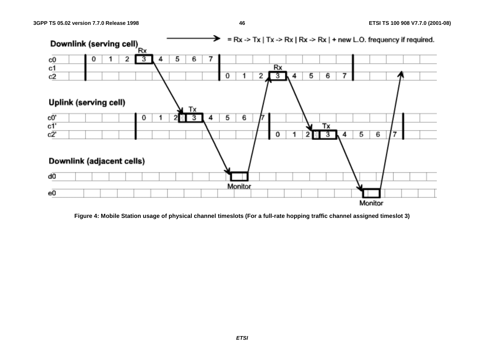

**Figure 4: Mobile Station usage of physical channel timeslots (For a full-rate hopping traffic channel assigned timeslot 3)** 

**ETSI**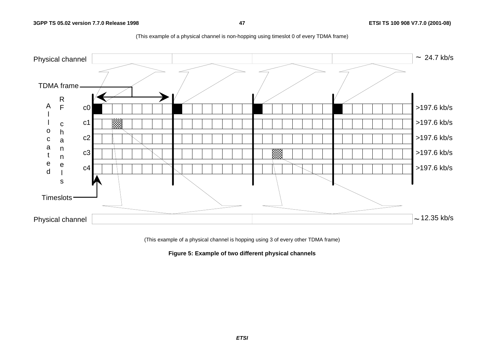

(This example of a physical channel is non-hopping using timeslot 0 of every TDMA frame)

(This example of a physical channel is hopping using 3 of every other TDMA frame)

**Figure 5: Example of two different physical channels**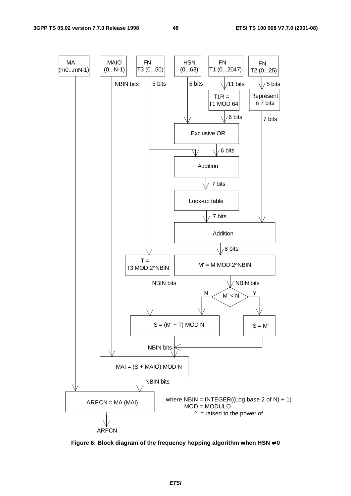

**Figure 6: Block diagram of the frequency hopping algorithm when HSN** ≠ **0**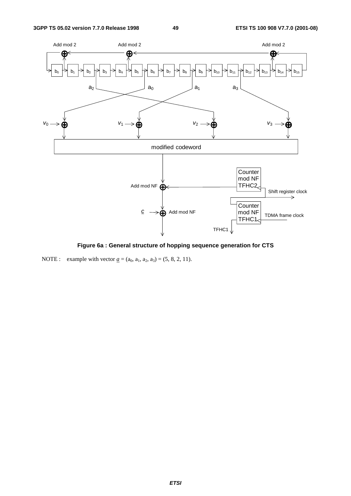

**Figure 6a : General structure of hopping sequence generation for CTS** 

NOTE : example with vector  $\underline{a} = (a_0, a_1, a_2, a_3) = (5, 8, 2, 11)$ .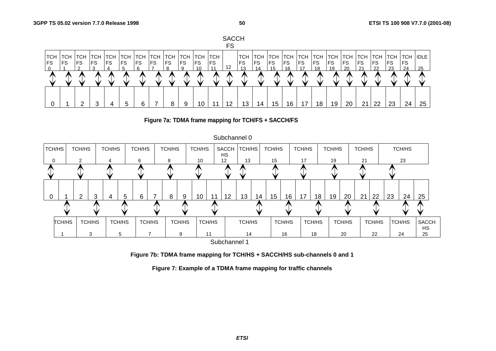



**Figure 7a: TDMA frame mapping for TCH/FS + SACCH/FS**



**Figure 7b: TDMA frame mapping for TCH/HS + SACCH/HS sub-channels 0 and 1** 

**Figure 7: Example of a TDMA frame mapping for traffic channels**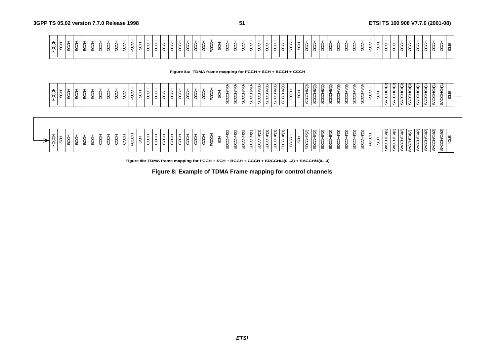**Figure 8a: TDMA frame mapping for FCCH + SCH + BCCH + CCCH**

| ≂<br>~<br>$\sim$<br>$-$<br>$\sim$<br>$\sim$<br>⌒<br>$\supset$<br>∽<br>ີ<br>$\hat{\phantom{a}}$<br>՞<br>$\hat{\phantom{a}}$<br>$\sim$<br>e<br>÷<br>≆<br>ିମ<br>∾<br>≂<br>$\overline{\phantom{0}}$<br>ల<br>$\tilde{}$<br>$\tilde{}$<br>ັ<br>ັ<br>చి<br>৺<br>¥<br>ت<br>ت<br>ັ<br>ت<br>ີ<br>$\checkmark$<br>. U<br>$\tilde{}$<br>-<br>-<br>$\sim$<br>$\overline{\phantom{a}}$<br>$\overline{\phantom{a}}$<br>$\Theta$<br>. சு<br>49<br>$\overline{\phantom{0}}$<br><b>__</b><br>ᄒ<br>. .<br><b>Exposure</b><br>ت<br>--<br>$\sim$<br>$\overline{ }$<br>$\overline{\phantom{0}}$<br>$\overline{\phantom{0}}$<br>x.<br>$\sim$<br><br>$\sim$<br><b>.</b><br>ပ<br>-<br>$\overline{\phantom{0}}$<br>w<br>$\overline{ }$<br>$\overline{ }$<br>. .<br>ັ<br>∼<br>. .<br>$\overline{ }$<br>. .<br>. .<br>$\sim$<br>$\sim$<br>. .<br>$\sim$<br>$\sim$<br>ന<br>$\overline{\phantom{0}}$<br>$\overline{ }$<br>. .<br>. .<br>. .<br>$\sim$<br>ပ<br>$\sqrt{ }$<br>w<br>$\sim$<br>. .<br>$\sim$<br>$\overline{\phantom{0}}$<br>נ ש<br>罒<br>∼<br>$\sim$<br>$\overline{ }$<br>$\overline{\phantom{0}}$<br>. u<br>◡<br>$\overline{ }$<br>$\sim$<br>$\sim$<br>$\sim$<br>$\sim$<br>$\sim$<br>◡<br>ັ<br>ັ<br>ັ<br>ັ<br>ັ<br>ັ<br>ັ<br>. .<br>≖<br>ັ<br>ັ<br>~<br>┻<br>$\overline{\phantom{a}}$<br>◡<br><u>н.</u><br>$\overline{\phantom{0}}$<br>. .<br>$\overline{\phantom{0}}$<br>-<br><u>н.</u><br>. .<br>ೲ<br>-<br>-<br>ೲ<br>Ø<br>U)<br>Ø<br><b>U)</b><br>-7<br>U)<br>UJ.<br>w<br>w<br>v<br>ັບ<br><b>v</b><br><b>v</b><br><b>v</b> ,<br>U)<br>v,<br>$\mathbf{u}$<br>UJ.<br>v<br>ັັ | $\overline{\phantom{0}}$<br>≘<br>$\overline{\phantom{0}}$<br>$\overline{\phantom{0}}$<br>$\overline{\phantom{0}}$<br>$\sim$<br>$\sim$<br>-<br>$\overline{\phantom{0}}$<br>◡<br>$\sim$<br>w<br>w<br>., |
|------------------------------------------------------------------------------------------------------------------------------------------------------------------------------------------------------------------------------------------------------------------------------------------------------------------------------------------------------------------------------------------------------------------------------------------------------------------------------------------------------------------------------------------------------------------------------------------------------------------------------------------------------------------------------------------------------------------------------------------------------------------------------------------------------------------------------------------------------------------------------------------------------------------------------------------------------------------------------------------------------------------------------------------------------------------------------------------------------------------------------------------------------------------------------------------------------------------------------------------------------------------------------------------------------------------------------------------------------------------------------------------------------------------------------------------------------------------------------------------------------------------------------------------------------------|-------------------------------------------------------------------------------------------------------------------------------------------------------------------------------------------------------|
|------------------------------------------------------------------------------------------------------------------------------------------------------------------------------------------------------------------------------------------------------------------------------------------------------------------------------------------------------------------------------------------------------------------------------------------------------------------------------------------------------------------------------------------------------------------------------------------------------------------------------------------------------------------------------------------------------------------------------------------------------------------------------------------------------------------------------------------------------------------------------------------------------------------------------------------------------------------------------------------------------------------------------------------------------------------------------------------------------------------------------------------------------------------------------------------------------------------------------------------------------------------------------------------------------------------------------------------------------------------------------------------------------------------------------------------------------------------------------------------------------------------------------------------------------------|-------------------------------------------------------------------------------------------------------------------------------------------------------------------------------------------------------|



**Figure 8b: TDMA frame mapping for FCCH + SCH + BCCH + CCCH + SDCCH/4(0...3) + SACCH/4(0...3)**

**Figure 8: Example of TDMA Frame mapping for control channels**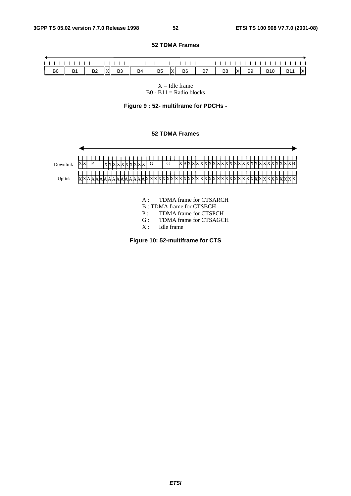#### $\mathbf{L}$  $\perp$ B0 | B1 | B2 |X| B3 | B4 | B5 |X| B6 | B7 | B8 |X| B9 | B10 | B11 |X

 $X =$  Idle frame B0 - B11 = Radio blocks

**Figure 9 : 52- multiframe for PDCHs -** 

#### **52 TDMA Frames**



- B : TDMA frame for CTSBCH
- P : TDMA frame for CTSPCH
- G : TDMA frame for CTSAGCH<br>X : Idle frame
- Idle frame

**Figure 10: 52-multiframe for CTS**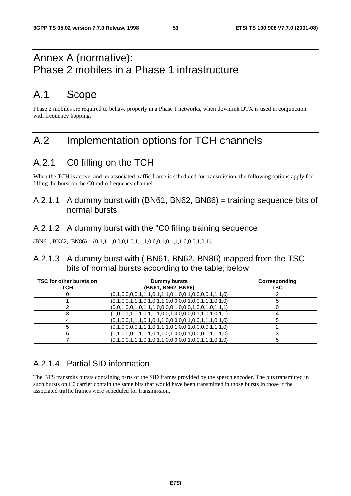### Annex A (normative): Phase 2 mobiles in a Phase 1 infrastructure

### A.1 Scope

Phase 2 mobiles are required to behave properly in a Phase 1 networks, when downlink DTX is used in conjunction with frequency hopping.

### A.2 Implementation options for TCH channels

### A.2.1 C0 filling on the TCH

When the TCH is active, and no associated traffic frame is scheduled for transmission, the following options apply for filling the burst on the C0 radio frequency channel.

### A.2.1.1 A dummy burst with (BN61, BN62, BN86) = training sequence bits of normal bursts

### A.2.1.2 A dummy burst with the "C0 filling training sequence

 $(BN61, BN62, BN86) = (0,1,1,1,0,0,0,1,0,1,1,1,0,0,0,1,0,1,1,1,0,0,0,1,0,1).$ 

#### A.2.1.3 A dummy burst with ( BN61, BN62, BN86) mapped from the TSC bits of normal bursts according to the table; below

| TSC for other bursts on<br><b>TCH</b> | <b>Dummy bursts</b><br>(BN61, BN62 BN86)                | Corresponding<br>TSC |
|---------------------------------------|---------------------------------------------------------|----------------------|
|                                       | $(0,1,0,0,0,0,1,1,1,0,1,1,1,0,1,0,0,1,0,0,0,0,1,1,1,0)$ |                      |
|                                       | $(0,1,0,0,1,1,1,0,1,0,1,1,0,0,0,0,0,1,0,0,1,1,1,0,1,0)$ |                      |
|                                       | $(0,0,1,0,0,1,0,1,1,1,0,0,0,0,1,0,0,1,0,0,1,0,1,1,1)$   |                      |
|                                       | $(0,0,0,1,1,0,1,0,1,1,1,0,0,1,0,0,0,0,1,1,0,1,0,1,1)$   |                      |
|                                       | $(0,1,0,0,1,1,1,0,1,0,1,1,0,0,0,0,0,1,0,0,1,1,1,0,1,0)$ |                      |
|                                       | $(0,1,0,0,0,0,1,1,1,0,1,1,1,0,1,0,0,1,0,0,0,0,1,1,1,0)$ |                      |
|                                       | $(0,1,0,0,0,1,1,1,1,0,1,1,0,1,0,0,0,1,0,0,0,1,1,1,1,0)$ |                      |
|                                       | $(0,1,0,0,1,1,1,0,1,0,1,1,0,0,0,0,0,1,0,0,1,1,1,0,1,0)$ |                      |

### A.2.1.4 Partial SID information

The BTS transmits bursts containing parts of the SID frames provided by the speech encoder. The bits transmitted in such bursts on C0 carrier contain the same bits that would have been transmitted in those bursts in those if the associated traffic frames were scheduled for transmission.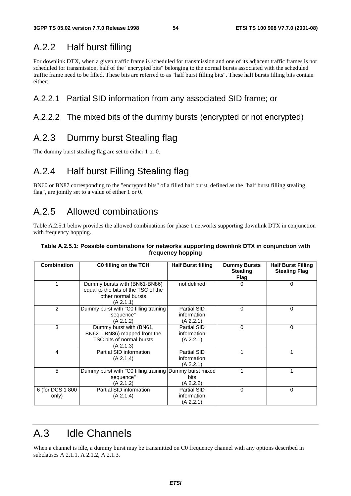### A.2.2 Half burst filling

For downlink DTX, when a given traffic frame is scheduled for transmission and one of its adjacent traffic frames is not scheduled for transmission, half of the "encrypted bits" belonging to the normal bursts associated with the scheduled traffic frame need to be filled. These bits are referred to as "half burst filling bits". These half bursts filling bits contain either:

### A.2.2.1 Partial SID information from any associated SID frame; or

#### A.2.2.2 The mixed bits of the dummy bursts (encrypted or not encrypted)

### A.2.3 Dummy burst Stealing flag

The dummy burst stealing flag are set to either 1 or 0.

### A.2.4 Half burst Filling Stealing flag

BN60 or BN87 corresponding to the "encrypted bits" of a filled half burst, defined as the "half burst filling stealing flag", are jointly set to a value of either 1 or 0.

### A.2.5 Allowed combinations

Table A.2.5.1 below provides the allowed combinations for phase 1 networks supporting downlink DTX in conjunction with frequency hopping.

#### **Table A.2.5.1: Possible combinations for networks supporting downlink DTX in conjunction with frequency hopping**

| <b>Combination</b>        | C0 filling on the TCH                                                                                    | <b>Half Burst filling</b>                      | <b>Dummy Bursts</b><br><b>Stealing</b><br>Flag | <b>Half Burst Filling</b><br><b>Stealing Flag</b> |
|---------------------------|----------------------------------------------------------------------------------------------------------|------------------------------------------------|------------------------------------------------|---------------------------------------------------|
|                           | Dummy bursts with (BN61-BN86)<br>equal to the bits of the TSC of the<br>other normal bursts<br>(A 2.1.1) | not defined                                    | $\Omega$                                       | $\Omega$                                          |
| $\overline{2}$            | Dummy burst with "C0 filling training<br>sequence"<br>(A 2.1.2)                                          | Partial SID<br>information<br>(A 2.2.1)        | $\Omega$                                       | $\Omega$                                          |
| 3                         | Dummy burst with (BN61,<br>BN62BN86) mapped from the<br>TSC bits of normal bursts<br>(A 2.1.3)           | <b>Partial SID</b><br>information<br>(A 2.2.1) | 0                                              | 0                                                 |
| 4                         | Partial SID information<br>(A 2.1.4)                                                                     | Partial SID<br>information<br>(A 2.2.1)        |                                                |                                                   |
| 5                         | Dummy burst with "C0 filling training Dummy burst mixed<br>sequence"<br>(A 2.1.2)                        | <b>bits</b><br>(A 2.2.2)                       |                                                | 1                                                 |
| 6 (for DCS 1 800<br>only) | Partial SID information<br>(A 2.1.4)                                                                     | <b>Partial SID</b><br>information<br>(A 2.2.1) | $\Omega$                                       | $\Omega$                                          |

### A.3 Idle Channels

When a channel is idle, a dummy burst may be transmitted on C0 frequency channel with any options described in subclauses A 2.1.1, A 2.1.2, A 2.1.3.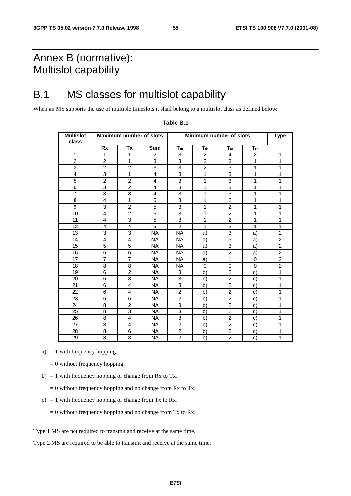### Annex B (normative): Multislot capability

### B.1 MS classes for multislot capability

When an MS supports the use of multiple timeslots it shall belong to a multislot class as defined below:

| <b>Multislot</b><br>class |                | <b>Maximum number of slots</b> |                | Minimum number of slots | <b>Type</b>    |                |                |                |
|---------------------------|----------------|--------------------------------|----------------|-------------------------|----------------|----------------|----------------|----------------|
|                           | <b>Rx</b>      | Tx                             | <b>Sum</b>     | $T_{ta}$                | $T_{tb}$       | $T_{ra}$       | $T_{rb}$       |                |
| $\mathbf{1}$              | $\mathbf{1}$   | $\mathbf{1}$                   | $\overline{c}$ | 3                       | $\overline{c}$ | $\overline{4}$ | $\overline{2}$ | $\mathbf{1}$   |
| $\overline{2}$            | $\overline{2}$ | $\mathbf{1}$                   | 3              | 3                       | $\overline{2}$ | 3              | 1              | 1              |
| 3                         | $\overline{2}$ | $\overline{2}$                 | 3              | 3                       | $\overline{2}$ | 3              | 1              | $\mathbf{1}$   |
| 4                         | 3              | $\mathbf{1}$                   | 4              | $\overline{3}$          | 1              | 3              | 1              | 1              |
| $\overline{5}$            | $\overline{2}$ | $\overline{2}$                 | 4              | 3                       | 1              | 3              | 1              | 1              |
| 6                         | 3              | $\overline{2}$                 | 4              | 3                       | 1              | 3              | 1              | 1              |
| $\overline{7}$            | 3              | 3                              | 4              | 3                       | 1              | 3              | 1              | $\mathbf{1}$   |
| 8                         | 4              | 1                              | 5              | $\overline{3}$          | 1              | $\overline{2}$ | 1              | 1              |
| 9                         | 3              | $\overline{2}$                 | $\overline{5}$ | 3                       | 1              | $\overline{2}$ | 1              | 1              |
| 10                        | $\overline{4}$ | $\overline{2}$                 | $\overline{5}$ | 3                       | 1              | $\overline{2}$ | 1              | $\mathbf{1}$   |
| 11                        | $\overline{4}$ | 3                              | 5              | 3                       | 1              | $\overline{c}$ | 1              | $\mathbf{1}$   |
| 12                        | $\overline{4}$ | 4                              | 5              | $\overline{2}$          | 1              | $\overline{2}$ | 1              | $\mathbf{1}$   |
| 13                        | 3              | 3                              | <b>NA</b>      | <b>NA</b>               | a)             | 3              | a)             | $\overline{c}$ |
| 14                        | $\overline{4}$ | 4                              | <b>NA</b>      | NA.                     | a)             | 3              | a)             | $\overline{c}$ |
| 15                        | 5              | 5                              | <b>NA</b>      | <b>NA</b>               | a)             | 3              | a)             | $\overline{2}$ |
| 16                        | 6              | 6                              | <b>NA</b>      | <b>NA</b>               | a)             | $\overline{2}$ | a)             | $\overline{2}$ |
| 17                        | $\overline{7}$ | $\overline{7}$                 | <b>NA</b>      | <b>NA</b>               | a)             | 1              | 0              | $\overline{2}$ |
| 18                        | 8              | 8                              | NA.            | NA.                     | 0              | $\mathbf 0$    | 0              | $\overline{2}$ |
| 19                        | $\overline{6}$ | $\overline{2}$                 | <b>NA</b>      | 3                       | b)             | $\overline{2}$ | c)             | $\mathbf{1}$   |
| 20                        | 6              | 3                              | <b>NA</b>      | 3                       | b)             | $\overline{2}$ | C)             | $\mathbf{1}$   |
| 21                        | 6              | 4                              | <b>NA</b>      | 3                       | b)             | $\overline{c}$ | C)             | 1              |
| 22                        | 6              | 4                              | <b>NA</b>      | $\overline{2}$          | b)             | $\overline{2}$ | c)             | 1              |
| 23                        | 6              | 6                              | <b>NA</b>      | $\overline{c}$          | b)             | $\overline{2}$ | C)             | 1              |
| 24                        | 8              | $\overline{2}$                 | NA.            | 3                       | b)             | $\overline{2}$ | $\mathbf{C}$   | 1              |
| 25                        | 8              | 3                              | <b>NA</b>      | 3                       | b)             | $\overline{2}$ | C)             | 1              |
| 26                        | 8              | 4                              | <b>NA</b>      | 3                       | b)             | $\overline{c}$ | C)             | $\mathbf{1}$   |
| 27                        | 8              | 4                              | <b>NA</b>      | $\overline{2}$          | b)             | $\overline{2}$ | c)             | 1              |
| 28                        | 8              | 6                              | <b>NA</b>      | $\overline{2}$          | b)             | $\overline{2}$ | C)             | 1              |
| 29                        | 8              | 8                              | <b>NA</b>      | $\overline{2}$          | b)             | $\overline{2}$ | c)             | $\mathbf{1}$   |

#### **Table B.1**

a)  $= 1$  with frequency hopping.

= 0 without frequency hopping.

- b) = 1 with frequency hopping or change from Rx to Tx.
	- $= 0$  without frequency hopping and no change from Rx to Tx.
- c) = 1 with frequency hopping or change from Tx to Rx.
	- $= 0$  without frequency hopping and no change from Tx to Rx.
- Type 1 MS are not required to transmit and receive at the same time.

Type 2 MS are required to be able to transmit and receive at the same time.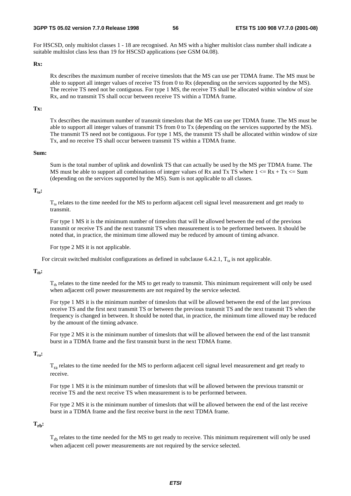#### **3GPP TS 05.02 version 7.7.0 Release 1998 56 ETSI TS 100 908 V7.7.0 (2001-08)**

For HSCSD, only multislot classes 1 - 18 are recognised. An MS with a higher multislot class number shall indicate a suitable multislot class less than 19 for HSCSD applications (see GSM 04.08).

#### **Rx:**

 Rx describes the maximum number of receive timeslots that the MS can use per TDMA frame. The MS must be able to support all integer values of receive TS from 0 to Rx (depending on the services supported by the MS). The receive TS need not be contiguous. For type 1 MS, the receive TS shall be allocated within window of size Rx, and no transmit TS shall occur between receive TS within a TDMA frame.

#### **Tx:**

 Tx describes the maximum number of transmit timeslots that the MS can use per TDMA frame. The MS must be able to support all integer values of transmit TS from 0 to Tx (depending on the services supported by the MS). The transmit TS need not be contiguous. For type 1 MS, the transmit TS shall be allocated within window of size Tx, and no receive TS shall occur between transmit TS within a TDMA frame.

#### **Sum:**

 Sum is the total number of uplink and downlink TS that can actually be used by the MS per TDMA frame. The MS must be able to support all combinations of integer values of Rx and Tx TS where  $1 \leq Rx + Tx \leq Sum$ (depending on the services supported by the MS). Sum is not applicable to all classes.

#### **Tta:**

 $T<sub>ta</sub>$  relates to the time needed for the MS to perform adjacent cell signal level measurement and get ready to transmit.

 For type 1 MS it is the minimum number of timeslots that will be allowed between the end of the previous transmit or receive TS and the next transmit TS when measurement is to be performed between. It should be noted that, in practice, the minimum time allowed may be reduced by amount of timing advance.

For type 2 MS it is not applicable.

For circuit switched multislot configurations as defined in subclause 6.4.2.1,  $T_{ta}$  is not applicable.

#### $T_{\text{th}}$ :

 $T_{th}$  relates to the time needed for the MS to get ready to transmit. This minimum requirement will only be used when adjacent cell power measurements are not required by the service selected.

 For type 1 MS it is the minimum number of timeslots that will be allowed between the end of the last previous receive TS and the first next transmit TS or between the previous transmit TS and the next transmit TS when the frequency is changed in between. It should be noted that, in practice, the minimum time allowed may be reduced by the amount of the timing advance.

 For type 2 MS it is the minimum number of timeslots that will be allowed between the end of the last transmit burst in a TDMA frame and the first transmit burst in the next TDMA frame.

#### **Tra:**

 $T_{ra}$  relates to the time needed for the MS to perform adjacent cell signal level measurement and get ready to receive.

 For type 1 MS it is the minimum number of timeslots that will be allowed between the previous transmit or receive TS and the next receive TS when measurement is to be performed between.

 For type 2 MS it is the minimum number of timeslots that will be allowed between the end of the last receive burst in a TDMA frame and the first receive burst in the next TDMA frame.

#### $T_{rh}$ :

 $T_{\text{rh}}$  relates to the time needed for the MS to get ready to receive. This minimum requirement will only be used when adjacent cell power measurements are not required by the service selected.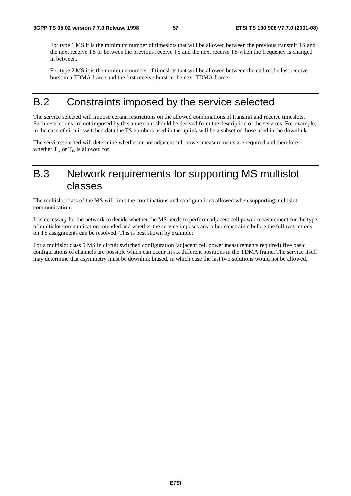For type 1 MS it is the minimum number of timeslots that will be allowed between the previous transmit TS and the next receive TS or between the previous receive TS and the next receive TS when the frequency is changed in between.

 For type 2 MS it is the minimum number of timeslots that will be allowed between the end of the last receive burst in a TDMA frame and the first receive burst in the next TDMA frame.

### B.2 Constraints imposed by the service selected

The service selected will impose certain restrictions on the allowed combinations of transmit and receive timeslots. Such restrictions are not imposed by this annex but should be derived from the description of the services. For example, in the case of circuit switched data the TS numbers used in the uplink will be a subset of those used in the downlink.

The service selected will determine whether or not adjacent cell power measurements are required and therefore whether  $T_{ra}$  or  $T_{rb}$  is allowed for.

### B.3 Network requirements for supporting MS multislot classes

The multislot class of the MS will limit the combinations and configurations allowed when supporting multislot communication.

It is necessary for the network to decide whether the MS needs to perform adjacent cell power measurement for the type of multislot communication intended and whether the service imposes any other constraints before the full restrictions on TS assignments can be resolved. This is best shown by example:

For a multislot class 5 MS in circuit switched configuration (adjacent cell power measurements required) five basic configurations of channels are possible which can occur in six different positions in the TDMA frame. The service itself may determine that asymmetry must be downlink biased, in which case the last two solutions would not be allowed.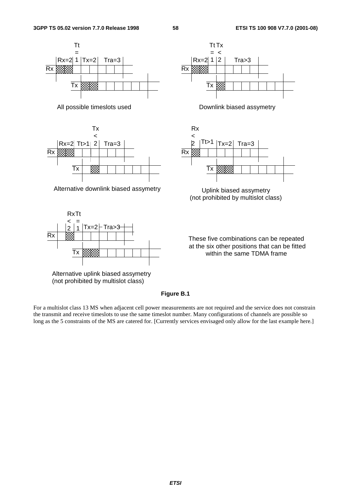





Alternative uplink biased assymetry (not prohibited by multislot class)







(not prohibited by multislot class)

These five combinations can be repeated at the six other positions that can be fitted within the same TDMA frame

#### **Figure B.1**

For a multislot class 13 MS when adjacent cell power measurements are not required and the service does not constrain the transmit and receive timeslots to use the same timeslot number. Many configurations of channels are possible so long as the 5 constraints of the MS are catered for. [Currently services envisaged only allow for the last example here.]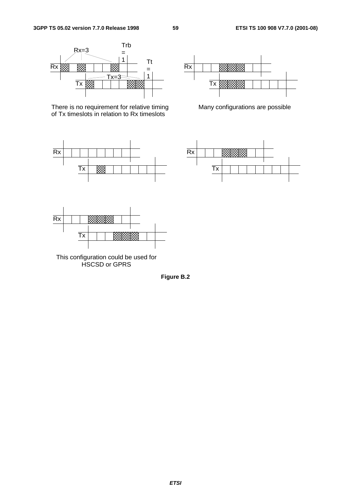

There is no requirement for relative timing of Tx timeslots in relation to Rx timeslots





Many configurations are possible





This configuration could be used for HSCSD or GPRS

**Figure B.2**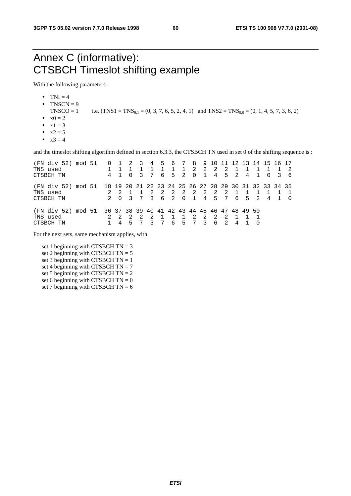### Annex C (informative): CTSBCH Timeslot shifting example

With the following parameters :

- $\bullet$  TNI = 4
- TNSCN  $= 9$ 
	- TNSCO = 1 i.e.  $(TNS1 = TNS_{9,1} = (0, 3, 7, 6, 5, 2, 4, 1)$  and  $TNS2 = TNS_{9,0} = (0, 1, 4, 5, 7, 3, 6, 2)$
- $x0 = 2$
- $x1 = 3$
- $x2 = 5$
- $x3 = 4$

and the timeslot shifting algorithm defined in section 6.3.3, the CTSBCH TN used in set 0 of the shifting sequence is :

| (FN div 52) mod 51<br>TNS used<br>CTSBCH TN                                                       |  | 4 |                | -2<br>- 0 | -3<br>२ | 7      | 6 | 4 5 6 7               | $\overline{1}$<br>$5\quad 2$ | $\overline{2}$<br>$\Omega$ | 8910<br>$\overline{2}$<br>$\mathbf{1}$ | - 2<br>4       | -11<br>-2  | $5\quad 2$ | 4     | 12 13 14 15 16 17 | $\Omega$ | 36 |  |
|---------------------------------------------------------------------------------------------------|--|---|----------------|-----------|---------|--------|---|-----------------------|------------------------------|----------------------------|----------------------------------------|----------------|------------|------------|-------|-------------------|----------|----|--|
| (FN div 52) mod 51 18 19 20 21 22 23 24 25 26 27 28 29 30 31 32 33 34 35<br>TNS used<br>CTSBCH TN |  |   | $\overline{0}$ |           | 7       | 2<br>3 | 2 | $\overline{2}$<br>6 2 | $\overline{0}$               | 2 2 2<br>$\overline{1}$    | 4                                      | $\overline{2}$ | - 2<br>5 7 |            | 6 5 2 |                   | 4        |    |  |
| (FN div 52) mod 51 36 37 38 39 40 41 42 43 44 45 46 47 48 49 50<br>TNS used<br>CTSBCH TN          |  |   |                |           |         |        |   | б.                    | 5                            | 2                          | -2<br>२                                | -2.<br>6       |            | 4          |       |                   |          |    |  |

For the next sets, same mechanism applies, with

set 1 beginning with CTSBCH  $TN = 3$ set 2 beginning with CTSBCH TN = 5 set 3 beginning with CTSBCH  $TN = 1$ set 4 beginning with CTSBCH TN =  $7$ set 5 beginning with CTSBCH  $TN = 2$ set 6 beginning with CTSBCH  $TN = 0$ set 7 beginning with CTSBCH  $TN = 6$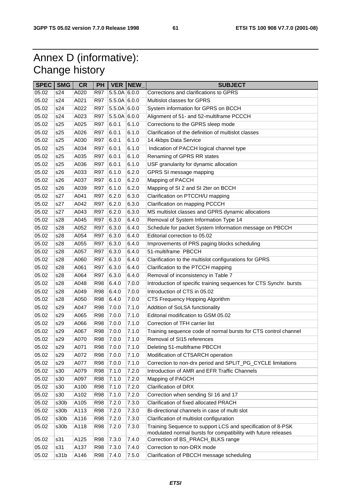## Annex D (informative): Change history

| <b>SPEC</b> | <b>SMG</b> | <b>CR</b> | PH         |                | <b>VER NEW</b> | <b>SUBJECT</b>                                                     |
|-------------|------------|-----------|------------|----------------|----------------|--------------------------------------------------------------------|
| 05.02       | s24        | A020      | <b>R97</b> | $5.5.0A$ 6.0.0 |                | Corrections and clarifications to GPRS                             |
| 05.02       | s24        | A021      | <b>R97</b> | $5.5.0A$ 6.0.0 |                | Multislot classes for GPRS                                         |
| 05.02       | s24        | A022      | <b>R97</b> | $5.5.0A$ 6.0.0 |                | System information for GPRS on BCCH                                |
| 05.02       | s24        | A023      | <b>R97</b> | $5.5.0A$ 6.0.0 |                | Alignment of 51- and 52-multiframe PCCCH                           |
| 05.02       | s25        | A025      | <b>R97</b> | 6.0.1          | 6.1.0          | Corrections to the GPRS sleep mode                                 |
| 05.02       | s25        | A026      | <b>R97</b> | 6.0.1          | 6.1.0          | Clarification of the definition of multislot classes               |
| 05.02       | s25        | A030      | <b>R97</b> | 6.0.1          | 6.1.0          | 14.4kbps Data Service                                              |
| 05.02       | s25        | A034      | <b>R97</b> | 6.0.1          | 6.1.0          | Indication of PACCH logical channel type                           |
| 05.02       | s25        | A035      | <b>R97</b> | 6.0.1          | 6.1.0          | Renaming of GPRS RR states                                         |
| 05.02       | s25        | A036      | <b>R97</b> | 6.0.1          | 6.1.0          | USF granularity for dynamic allocation                             |
| 05.02       | s26        | A033      | <b>R97</b> | 6.1.0          | 6.2.0          | GPRS SI message mapping                                            |
| 05.02       | s26        | A037      | <b>R97</b> | 6.1.0          | 6.2.0          | Mapping of PACCH                                                   |
| 05.02       | s26        | A039      | <b>R97</b> | 6.1.0          | 6.2.0          | Mapping of SI 2 and SI 2ter on BCCH                                |
| 05.02       | s27        | A041      | <b>R97</b> | 6.2.0          | 6.3.0          | Clarification on PTCCH/U mapping                                   |
| 05.02       | s27        | A042      | <b>R97</b> | 6.2.0          | 6.3.0          | Clarification on mapping PCCCH                                     |
| 05.02       | s27        | A043      | <b>R97</b> | 6.2.0          | 6.3.0          | MS multislot classes and GPRS dynamic allocations                  |
| 05.02       | s28        | A045      | <b>R97</b> | 6.3.0          | 6.4.0          | Removal of System Information Type 14                              |
| 05.02       | s28        | A052      | <b>R97</b> | 6.3.0          | 6.4.0          | Schedule for packet System Information message on PBCCH            |
| 05.02       | s28        | A054      | <b>R97</b> | 6.3.0          | 6.4.0          | Editorial correction to 05.02                                      |
| 05.02       | s28        | A055      | <b>R97</b> | 6.3.0          | 6.4.0          | Improvements of PRS paging blocks scheduling                       |
| 05.02       | s28        | A057      | <b>R97</b> | 6.3.0          | 6.4.0          | 51-multiframe PBCCH                                                |
| 05.02       | s28        | A060      | <b>R97</b> | 6.3.0          | 6.4.0          | Clarification to the multislot configurations for GPRS             |
| 05.02       | s28        | A061      | <b>R97</b> | 6.3.0          | 6.4.0          | Clarification to the PTCCH mapping                                 |
| 05.02       | s28        | A064      | <b>R97</b> | 6.3.0          | 6.4.0          | Removal of inconsistency in Table 7                                |
| 05.02       | s28        | A048      | <b>R98</b> | 6.4.0          | 7.0.0          | Introduction of specific training sequences for CTS Synchr. bursts |
| 05.02       | s28        | A049      | <b>R98</b> | 6.4.0          | 7.0.0          | Introduction of CTS in 05.02                                       |
| 05.02       | s28        | A050      | <b>R98</b> | 6.4.0          | 7.0.0          | CTS Frequency Hopping Algorithm                                    |
| 05.02       | s29        | A047      | <b>R98</b> | 7.0.0          | 7.1.0          | Addition of SoLSA functionality                                    |
| 05.02       | s29        | A065      | <b>R98</b> | 7.0.0          | 7.1.0          | Editorial modification to GSM 05.02                                |
| 05.02       | s29        | A066      | <b>R98</b> | 7.0.0          | 7.1.0          | Correction of TFH carrier list                                     |
| 05.02       | s29        | A067      | <b>R98</b> | 7.0.0          | 7.1.0          | Training sequence code of normal bursts for CTS control channel    |
| 05.02       | s29        | A070      | <b>R98</b> | 7.0.0          | 7.1.0          | Removal of SI15 references                                         |
| 05.02       | s29        | A071      | <b>R98</b> | 7.0.0          | 7.1.0          | Deleting 51-multiframe PBCCH                                       |
| 05.02       | s29        | A072      | <b>R98</b> | 7.0.0          | 7.1.0          | Modification of CTSARCH operation                                  |
| 05.02       | s29        | A077      | <b>R98</b> | 7.0.0          | 7.1.0          | Correction to non-drx period and SPLIT_PG_CYCLE limitations        |
| 05.02       | s30        | A079      | <b>R98</b> | 7.1.0          | 7.2.0          | Introduction of AMR and EFR Traffic Channels                       |
| 05.02       | s30        | A097      | <b>R98</b> | 7.1.0          | 7.2.0          | Mapping of PAGCH                                                   |
| 05.02       | s30        | A100      | <b>R98</b> | 7.1.0          | 7.2.0          | Clarification of DRX                                               |
| 05.02       | s30        | A102      | <b>R98</b> | 7.1.0          | 7.2.0          | Correction when sending SI 16 and 17                               |
| 05.02       | s30b       | A105      | <b>R98</b> | 7.2.0          | 7.3.0          | Clarification of fixed allocated PRACH                             |
| 05.02       | s30b       | A113      | <b>R98</b> | 7.2.0          | 7.3.0          | Bi-directional channels in case of multi slot                      |
| 05.02       | s30b       | A116      | <b>R98</b> | 7.2.0          | 7.3.0          | Clarification of multislot configuration                           |
| 05.02       | s30b       | A118      | <b>R98</b> | 7.2.0          | 7.3.0          | Training Sequence to support LCS and specification of 8-PSK        |
|             |            |           |            |                |                | modulated normal bursts for compatibility with future releases     |
| 05.02       | s31        | A125      | <b>R98</b> | 7.3.0          | 7.4.0          | Correction of BS_PRACH_BLKS range                                  |
| 05.02       | s31        | A137      | <b>R98</b> | 7.3.0          | 7.4.0          | Correction to non-DRX mode                                         |
| 05.02       | s31b       | A146      | <b>R98</b> | 7.4.0          | 7.5.0          | Clarification of PBCCH message scheduling                          |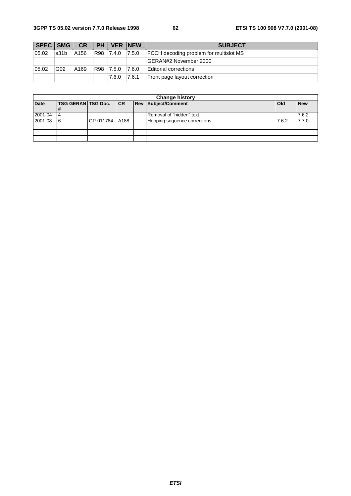| SPEC SMG |                 | <b>CR</b> | <b>PH</b> |             | <b>VER INEW</b> | <b>SUBJECT</b>                                |
|----------|-----------------|-----------|-----------|-------------|-----------------|-----------------------------------------------|
| 05.02    | s31b            | A156      | R98       | 7.4.0 7.5.0 |                 | <b>FCCH</b> decoding problem for multislot MS |
|          |                 |           |           |             |                 | GERAN#2 November 2000                         |
| 05.02    | G <sub>02</sub> | A169      | R98       | 7.5.0       | 7.6.0           | Editorial corrections                         |
|          |                 |           |           | 7.6.0       | 7.6.1           | Front page layout correction                  |

| <b>Change history</b> |                              |           |      |  |                              |              |            |  |  |  |
|-----------------------|------------------------------|-----------|------|--|------------------------------|--------------|------------|--|--|--|
| <b>Date</b>           | <b>TSG GERAN TSG Doc. CR</b> |           |      |  | <b>Rev Subject/Comment</b>   | <b>l</b> Old | <b>New</b> |  |  |  |
|                       | 1#                           |           |      |  |                              |              |            |  |  |  |
| 2001-04               | 14                           |           |      |  | Removal of "hidden" text     |              | 7.6.2      |  |  |  |
| 2001-08               | 16                           | GP-011784 | A188 |  | Hopping sequence corrections | 7.6.2        | 7.7.0      |  |  |  |
|                       |                              |           |      |  |                              |              |            |  |  |  |
|                       |                              |           |      |  |                              |              |            |  |  |  |
|                       |                              |           |      |  |                              |              |            |  |  |  |